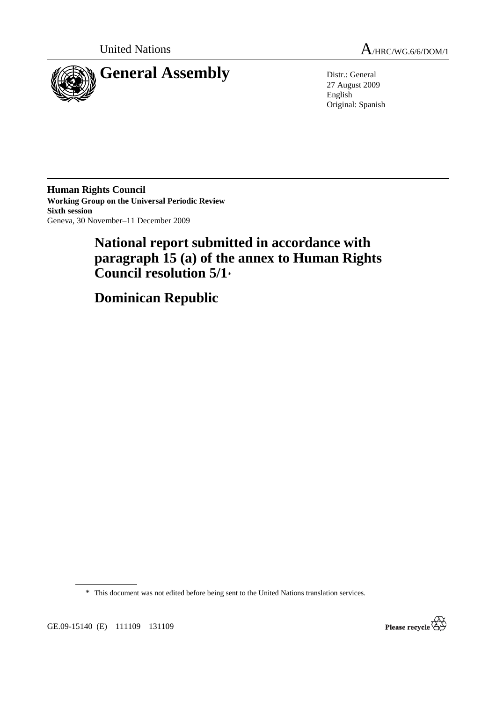



27 August 2009 English Original: Spanish

**Human Rights Council Working Group on the Universal Periodic Review Sixth session**  Geneva, 30 November–11 December 2009

# **National report submitted in accordance with paragraph 15 (a) of the annex to Human Rights Council resolution 5/1**\*

 **Dominican Republic** 

\* This document was not edited before being sent to the United Nations translation services.

GE.09-15140 (E) 111109 131109

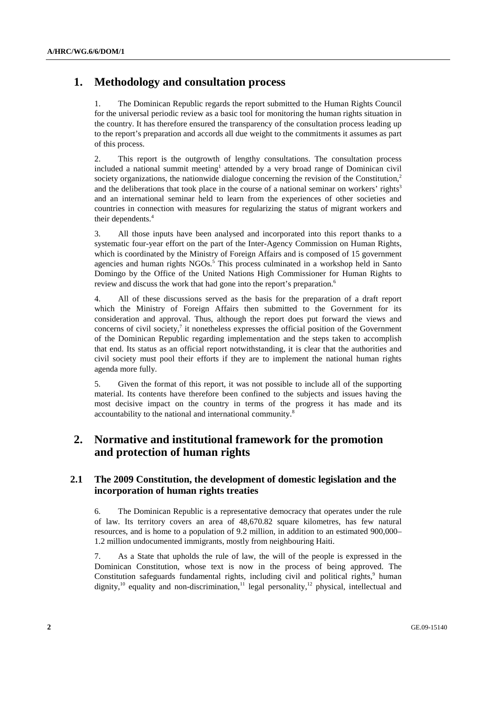# **1. Methodology and consultation process**

1. The Dominican Republic regards the report submitted to the Human Rights Council for the universal periodic review as a basic tool for monitoring the human rights situation in the country. It has therefore ensured the transparency of the consultation process leading up to the report's preparation and accords all due weight to the commitments it assumes as part of this process.

2. This report is the outgrowth of lengthy consultations. The consultation process included a national summit meeting<sup>1</sup> attended by a very broad range of Dominican civil society organizations, the nationwide dialogue concerning the revision of the Constitution, $2$ and the deliberations that took place in the course of a national seminar on workers' rights<sup>3</sup> and an international seminar held to learn from the experiences of other societies and countries in connection with measures for regularizing the status of migrant workers and their dependents.<sup>4</sup>

3. All those inputs have been analysed and incorporated into this report thanks to a systematic four-year effort on the part of the Inter-Agency Commission on Human Rights, which is coordinated by the Ministry of Foreign Affairs and is composed of 15 government agencies and human rights NGOs.<sup>5</sup> This process culminated in a workshop held in Santo Domingo by the Office of the United Nations High Commissioner for Human Rights to review and discuss the work that had gone into the report's preparation.<sup>6</sup>

4. All of these discussions served as the basis for the preparation of a draft report which the Ministry of Foreign Affairs then submitted to the Government for its consideration and approval. Thus, although the report does put forward the views and concerns of civil society, $\lambda$  it nonetheless expresses the official position of the Government of the Dominican Republic regarding implementation and the steps taken to accomplish that end. Its status as an official report notwithstanding, it is clear that the authorities and civil society must pool their efforts if they are to implement the national human rights agenda more fully.

5. Given the format of this report, it was not possible to include all of the supporting material. Its contents have therefore been confined to the subjects and issues having the most decisive impact on the country in terms of the progress it has made and its accountability to the national and international community.8

# **2. Normative and institutional framework for the promotion and protection of human rights**

## **2.1 The 2009 Constitution, the development of domestic legislation and the incorporation of human rights treaties**

6. The Dominican Republic is a representative democracy that operates under the rule of law. Its territory covers an area of 48,670.82 square kilometres, has few natural resources, and is home to a population of 9.2 million, in addition to an estimated 900,000– 1.2 million undocumented immigrants, mostly from neighbouring Haiti.

7. As a State that upholds the rule of law, the will of the people is expressed in the Dominican Constitution, whose text is now in the process of being approved. The Constitution safeguards fundamental rights, including civil and political rights,<sup>9</sup> human dignity,<sup>10</sup> equality and non-discrimination,<sup>11</sup> legal personality,<sup>12</sup> physical, intellectual and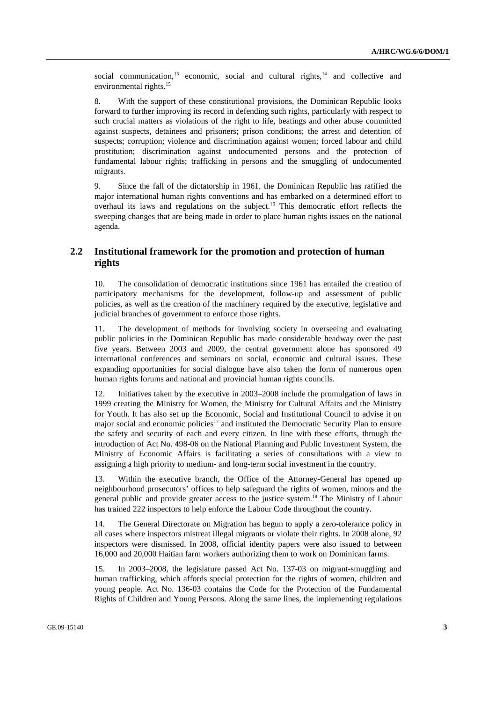social communication, $13$  economic, social and cultural rights, $14$  and collective and environmental rights.<sup>15</sup>

8. With the support of these constitutional provisions, the Dominican Republic looks forward to further improving its record in defending such rights, particularly with respect to such crucial matters as violations of the right to life, beatings and other abuse committed against suspects, detainees and prisoners; prison conditions; the arrest and detention of suspects; corruption; violence and discrimination against women; forced labour and child prostitution; discrimination against undocumented persons and the protection of fundamental labour rights; trafficking in persons and the smuggling of undocumented migrants.

9. Since the fall of the dictatorship in 1961, the Dominican Republic has ratified the major international human rights conventions and has embarked on a determined effort to overhaul its laws and regulations on the subject.16 This democratic effort reflects the sweeping changes that are being made in order to place human rights issues on the national agenda.

# **2.2 Institutional framework for the promotion and protection of human rights**

10. The consolidation of democratic institutions since 1961 has entailed the creation of participatory mechanisms for the development, follow-up and assessment of public policies, as well as the creation of the machinery required by the executive, legislative and judicial branches of government to enforce those rights.

11. The development of methods for involving society in overseeing and evaluating public policies in the Dominican Republic has made considerable headway over the past five years. Between 2003 and 2009, the central government alone has sponsored 49 international conferences and seminars on social, economic and cultural issues. These expanding opportunities for social dialogue have also taken the form of numerous open human rights forums and national and provincial human rights councils.

12. Initiatives taken by the executive in 2003–2008 include the promulgation of laws in 1999 creating the Ministry for Women, the Ministry for Cultural Affairs and the Ministry for Youth. It has also set up the Economic, Social and Institutional Council to advise it on major social and economic policies<sup>17</sup> and instituted the Democratic Security Plan to ensure the safety and security of each and every citizen. In line with these efforts, through the introduction of Act No. 498-06 on the National Planning and Public Investment System, the Ministry of Economic Affairs is facilitating a series of consultations with a view to assigning a high priority to medium- and long-term social investment in the country.

13. Within the executive branch, the Office of the Attorney-General has opened up neighbourhood prosecutors' offices to help safeguard the rights of women, minors and the general public and provide greater access to the justice system.18 The Ministry of Labour has trained 222 inspectors to help enforce the Labour Code throughout the country.

14. The General Directorate on Migration has begun to apply a zero-tolerance policy in all cases where inspectors mistreat illegal migrants or violate their rights. In 2008 alone, 92 inspectors were dismissed. In 2008, official identity papers were also issued to between 16,000 and 20,000 Haitian farm workers authorizing them to work on Dominican farms.

15. In 2003–2008, the legislature passed Act No. 137-03 on migrant-smuggling and human trafficking, which affords special protection for the rights of women, children and young people. Act No. 136-03 contains the Code for the Protection of the Fundamental Rights of Children and Young Persons. Along the same lines, the implementing regulations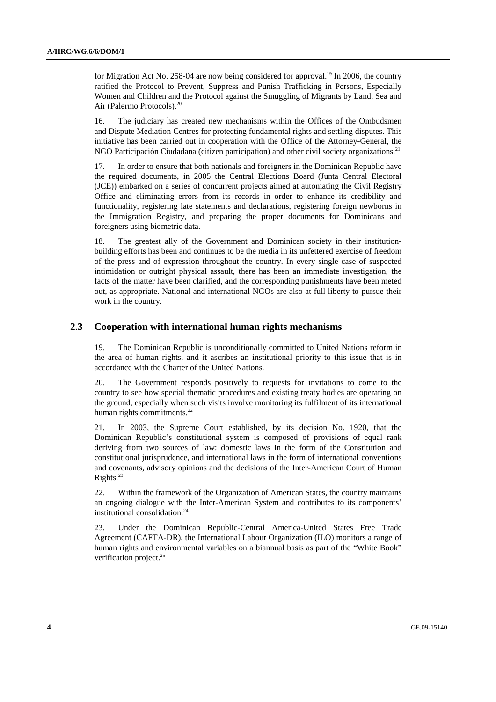for Migration Act No. 258-04 are now being considered for approval.<sup>19</sup> In 2006, the country ratified the Protocol to Prevent, Suppress and Punish Trafficking in Persons, Especially Women and Children and the Protocol against the Smuggling of Migrants by Land, Sea and Air (Palermo Protocols).20

16. The judiciary has created new mechanisms within the Offices of the Ombudsmen and Dispute Mediation Centres for protecting fundamental rights and settling disputes. This initiative has been carried out in cooperation with the Office of the Attorney-General, the NGO Participación Ciudadana (citizen participation) and other civil society organizations.<sup>21</sup>

17. In order to ensure that both nationals and foreigners in the Dominican Republic have the required documents, in 2005 the Central Elections Board (Junta Central Electoral (JCE)) embarked on a series of concurrent projects aimed at automating the Civil Registry Office and eliminating errors from its records in order to enhance its credibility and functionality, registering late statements and declarations, registering foreign newborns in the Immigration Registry, and preparing the proper documents for Dominicans and foreigners using biometric data.

18. The greatest ally of the Government and Dominican society in their institutionbuilding efforts has been and continues to be the media in its unfettered exercise of freedom of the press and of expression throughout the country. In every single case of suspected intimidation or outright physical assault, there has been an immediate investigation, the facts of the matter have been clarified, and the corresponding punishments have been meted out, as appropriate. National and international NGOs are also at full liberty to pursue their work in the country.

#### **2.3 Cooperation with international human rights mechanisms**

19. The Dominican Republic is unconditionally committed to United Nations reform in the area of human rights, and it ascribes an institutional priority to this issue that is in accordance with the Charter of the United Nations.

20. The Government responds positively to requests for invitations to come to the country to see how special thematic procedures and existing treaty bodies are operating on the ground, especially when such visits involve monitoring its fulfilment of its international human rights commitments.<sup>22</sup>

21. In 2003, the Supreme Court established, by its decision No. 1920, that the Dominican Republic's constitutional system is composed of provisions of equal rank deriving from two sources of law: domestic laws in the form of the Constitution and constitutional jurisprudence, and international laws in the form of international conventions and covenants, advisory opinions and the decisions of the Inter-American Court of Human Rights. $^{23}$ 

22. Within the framework of the Organization of American States, the country maintains an ongoing dialogue with the Inter-American System and contributes to its components' institutional consolidation.<sup>24</sup>

23. Under the Dominican Republic-Central America-United States Free Trade Agreement (CAFTA-DR), the International Labour Organization (ILO) monitors a range of human rights and environmental variables on a biannual basis as part of the "White Book" verification project.<sup>25</sup>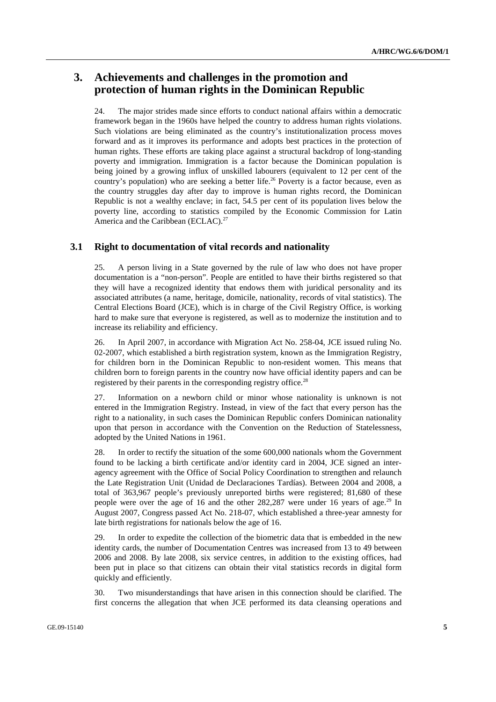# **3. Achievements and challenges in the promotion and protection of human rights in the Dominican Republic**

24. The major strides made since efforts to conduct national affairs within a democratic framework began in the 1960s have helped the country to address human rights violations. Such violations are being eliminated as the country's institutionalization process moves forward and as it improves its performance and adopts best practices in the protection of human rights. These efforts are taking place against a structural backdrop of long-standing poverty and immigration. Immigration is a factor because the Dominican population is being joined by a growing influx of unskilled labourers (equivalent to 12 per cent of the country's population) who are seeking a better life.<sup>26</sup> Poverty is a factor because, even as the country struggles day after day to improve is human rights record, the Dominican Republic is not a wealthy enclave; in fact, 54.5 per cent of its population lives below the poverty line, according to statistics compiled by the Economic Commission for Latin America and the Caribbean (ECLAC).<sup>27</sup>

### **3.1 Right to documentation of vital records and nationality**

25. A person living in a State governed by the rule of law who does not have proper documentation is a "non-person". People are entitled to have their births registered so that they will have a recognized identity that endows them with juridical personality and its associated attributes (a name, heritage, domicile, nationality, records of vital statistics). The Central Elections Board (JCE), which is in charge of the Civil Registry Office, is working hard to make sure that everyone is registered, as well as to modernize the institution and to increase its reliability and efficiency.

26. In April 2007, in accordance with Migration Act No. 258-04, JCE issued ruling No. 02-2007, which established a birth registration system, known as the Immigration Registry, for children born in the Dominican Republic to non-resident women. This means that children born to foreign parents in the country now have official identity papers and can be registered by their parents in the corresponding registry office.<sup>28</sup>

27. Information on a newborn child or minor whose nationality is unknown is not entered in the Immigration Registry. Instead, in view of the fact that every person has the right to a nationality, in such cases the Dominican Republic confers Dominican nationality upon that person in accordance with the Convention on the Reduction of Statelessness, adopted by the United Nations in 1961.

28. In order to rectify the situation of the some 600,000 nationals whom the Government found to be lacking a birth certificate and/or identity card in 2004, JCE signed an interagency agreement with the Office of Social Policy Coordination to strengthen and relaunch the Late Registration Unit (Unidad de Declaraciones Tardías). Between 2004 and 2008, a total of 363,967 people's previously unreported births were registered; 81,680 of these people were over the age of 16 and the other 282,287 were under 16 years of age.<sup>29</sup> In August 2007, Congress passed Act No. 218-07, which established a three-year amnesty for late birth registrations for nationals below the age of 16.

29. In order to expedite the collection of the biometric data that is embedded in the new identity cards, the number of Documentation Centres was increased from 13 to 49 between 2006 and 2008. By late 2008, six service centres, in addition to the existing offices, had been put in place so that citizens can obtain their vital statistics records in digital form quickly and efficiently.

30. Two misunderstandings that have arisen in this connection should be clarified. The first concerns the allegation that when JCE performed its data cleansing operations and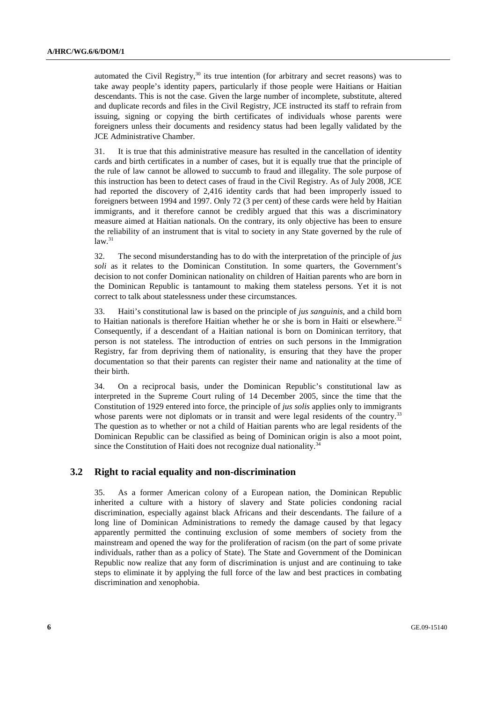automated the Civil Registry,<sup>30</sup> its true intention (for arbitrary and secret reasons) was to take away people's identity papers, particularly if those people were Haitians or Haitian descendants. This is not the case. Given the large number of incomplete, substitute, altered and duplicate records and files in the Civil Registry, JCE instructed its staff to refrain from issuing, signing or copying the birth certificates of individuals whose parents were foreigners unless their documents and residency status had been legally validated by the JCE Administrative Chamber.

31. It is true that this administrative measure has resulted in the cancellation of identity cards and birth certificates in a number of cases, but it is equally true that the principle of the rule of law cannot be allowed to succumb to fraud and illegality. The sole purpose of this instruction has been to detect cases of fraud in the Civil Registry. As of July 2008, JCE had reported the discovery of 2,416 identity cards that had been improperly issued to foreigners between 1994 and 1997. Only 72 (3 per cent) of these cards were held by Haitian immigrants, and it therefore cannot be credibly argued that this was a discriminatory measure aimed at Haitian nationals. On the contrary, its only objective has been to ensure the reliability of an instrument that is vital to society in any State governed by the rule of  $law.<sup>31</sup>$ 

32. The second misunderstanding has to do with the interpretation of the principle of *jus soli* as it relates to the Dominican Constitution. In some quarters, the Government's decision to not confer Dominican nationality on children of Haitian parents who are born in the Dominican Republic is tantamount to making them stateless persons. Yet it is not correct to talk about statelessness under these circumstances.

33. Haiti's constitutional law is based on the principle of *jus sanguinis*, and a child born to Haitian nationals is therefore Haitian whether he or she is born in Haiti or elsewhere. $32$ Consequently, if a descendant of a Haitian national is born on Dominican territory, that person is not stateless. The introduction of entries on such persons in the Immigration Registry, far from depriving them of nationality, is ensuring that they have the proper documentation so that their parents can register their name and nationality at the time of their birth.

34. On a reciprocal basis, under the Dominican Republic's constitutional law as interpreted in the Supreme Court ruling of 14 December 2005, since the time that the Constitution of 1929 entered into force, the principle of *jus solis* applies only to immigrants whose parents were not diplomats or in transit and were legal residents of the country.<sup>33</sup> The question as to whether or not a child of Haitian parents who are legal residents of the Dominican Republic can be classified as being of Dominican origin is also a moot point, since the Constitution of Haiti does not recognize dual nationality.<sup>34</sup>

# **3.2 Right to racial equality and non-discrimination**

35. As a former American colony of a European nation, the Dominican Republic inherited a culture with a history of slavery and State policies condoning racial discrimination, especially against black Africans and their descendants. The failure of a long line of Dominican Administrations to remedy the damage caused by that legacy apparently permitted the continuing exclusion of some members of society from the mainstream and opened the way for the proliferation of racism (on the part of some private individuals, rather than as a policy of State). The State and Government of the Dominican Republic now realize that any form of discrimination is unjust and are continuing to take steps to eliminate it by applying the full force of the law and best practices in combating discrimination and xenophobia.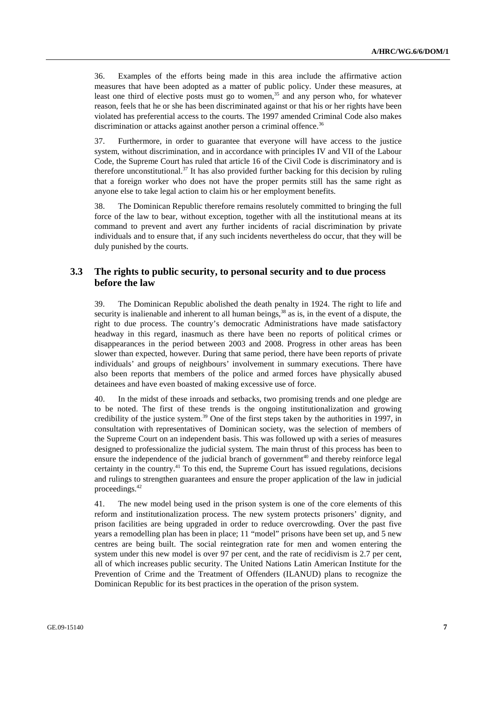36. Examples of the efforts being made in this area include the affirmative action measures that have been adopted as a matter of public policy. Under these measures, at least one third of elective posts must go to women,  $35$  and any person who, for whatever reason, feels that he or she has been discriminated against or that his or her rights have been violated has preferential access to the courts. The 1997 amended Criminal Code also makes discrimination or attacks against another person a criminal offence.<sup>36</sup>

37. Furthermore, in order to guarantee that everyone will have access to the justice system, without discrimination, and in accordance with principles IV and VII of the Labour Code, the Supreme Court has ruled that article 16 of the Civil Code is discriminatory and is therefore unconstitutional.<sup>37</sup> It has also provided further backing for this decision by ruling that a foreign worker who does not have the proper permits still has the same right as anyone else to take legal action to claim his or her employment benefits.

38. The Dominican Republic therefore remains resolutely committed to bringing the full force of the law to bear, without exception, together with all the institutional means at its command to prevent and avert any further incidents of racial discrimination by private individuals and to ensure that, if any such incidents nevertheless do occur, that they will be duly punished by the courts.

### **3.3 The rights to public security, to personal security and to due process before the law**

39. The Dominican Republic abolished the death penalty in 1924. The right to life and security is inalienable and inherent to all human beings,<sup>38</sup> as is, in the event of a dispute, the right to due process. The country's democratic Administrations have made satisfactory headway in this regard, inasmuch as there have been no reports of political crimes or disappearances in the period between 2003 and 2008. Progress in other areas has been slower than expected, however. During that same period, there have been reports of private individuals' and groups of neighbours' involvement in summary executions. There have also been reports that members of the police and armed forces have physically abused detainees and have even boasted of making excessive use of force.

40. In the midst of these inroads and setbacks, two promising trends and one pledge are to be noted. The first of these trends is the ongoing institutionalization and growing credibility of the justice system.<sup>39</sup> One of the first steps taken by the authorities in 1997, in consultation with representatives of Dominican society, was the selection of members of the Supreme Court on an independent basis. This was followed up with a series of measures designed to professionalize the judicial system. The main thrust of this process has been to ensure the independence of the judicial branch of government<sup>40</sup> and thereby reinforce legal certainty in the country.41 To this end, the Supreme Court has issued regulations, decisions and rulings to strengthen guarantees and ensure the proper application of the law in judicial proceedings.42

41. The new model being used in the prison system is one of the core elements of this reform and institutionalization process. The new system protects prisoners' dignity, and prison facilities are being upgraded in order to reduce overcrowding. Over the past five years a remodelling plan has been in place; 11 "model" prisons have been set up, and 5 new centres are being built. The social reintegration rate for men and women entering the system under this new model is over 97 per cent, and the rate of recidivism is 2.7 per cent, all of which increases public security. The United Nations Latin American Institute for the Prevention of Crime and the Treatment of Offenders (ILANUD) plans to recognize the Dominican Republic for its best practices in the operation of the prison system.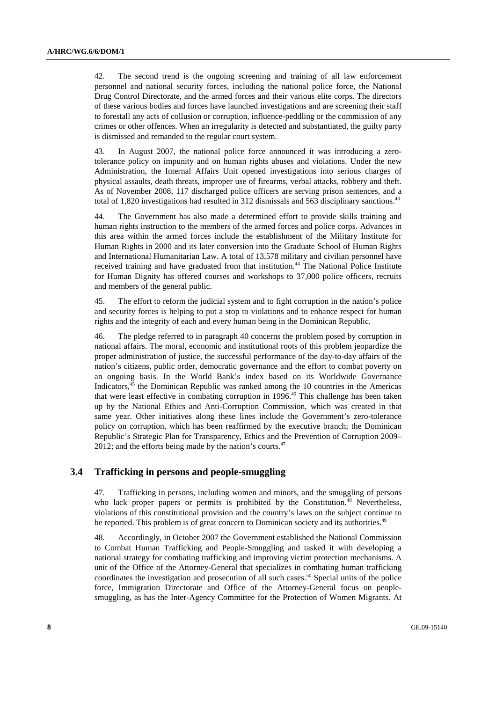42. The second trend is the ongoing screening and training of all law enforcement personnel and national security forces, including the national police force, the National Drug Control Directorate, and the armed forces and their various elite corps. The directors of these various bodies and forces have launched investigations and are screening their staff to forestall any acts of collusion or corruption, influence-peddling or the commission of any crimes or other offences. When an irregularity is detected and substantiated, the guilty party is dismissed and remanded to the regular court system.

43. In August 2007, the national police force announced it was introducing a zerotolerance policy on impunity and on human rights abuses and violations. Under the new Administration, the Internal Affairs Unit opened investigations into serious charges of physical assaults, death threats, improper use of firearms, verbal attacks, robbery and theft. As of November 2008, 117 discharged police officers are serving prison sentences, and a total of 1,820 investigations had resulted in 312 dismissals and 563 disciplinary sanctions.<sup>43</sup>

44. The Government has also made a determined effort to provide skills training and human rights instruction to the members of the armed forces and police corps. Advances in this area within the armed forces include the establishment of the Military Institute for Human Rights in 2000 and its later conversion into the Graduate School of Human Rights and International Humanitarian Law. A total of 13,578 military and civilian personnel have received training and have graduated from that institution.<sup>44</sup> The National Police Institute for Human Dignity has offered courses and workshops to 37,000 police officers, recruits and members of the general public.

45. The effort to reform the judicial system and to fight corruption in the nation's police and security forces is helping to put a stop to violations and to enhance respect for human rights and the integrity of each and every human being in the Dominican Republic.

46. The pledge referred to in paragraph 40 concerns the problem posed by corruption in national affairs. The moral, economic and institutional roots of this problem jeopardize the proper administration of justice, the successful performance of the day-to-day affairs of the nation's citizens, public order, democratic governance and the effort to combat poverty on an ongoing basis. In the World Bank's index based on its Worldwide Governance Indicators,  $45$  the Dominican Republic was ranked among the 10 countries in the Americas that were least effective in combating corruption in  $1996<sup>46</sup>$  This challenge has been taken up by the National Ethics and Anti-Corruption Commission, which was created in that same year. Other initiatives along these lines include the Government's zero-tolerance policy on corruption, which has been reaffirmed by the executive branch; the Dominican Republic's Strategic Plan for Transparency, Ethics and the Prevention of Corruption 2009– 2012; and the efforts being made by the nation's courts. $47$ 

## **3.4 Trafficking in persons and people-smuggling**

47. Trafficking in persons, including women and minors, and the smuggling of persons who lack proper papers or permits is prohibited by the Constitution.<sup>48</sup> Nevertheless, violations of this constitutional provision and the country's laws on the subject continue to be reported. This problem is of great concern to Dominican society and its authorities.<sup>49</sup>

48. Accordingly, in October 2007 the Government established the National Commission to Combat Human Trafficking and People-Smuggling and tasked it with developing a national strategy for combating trafficking and improving victim protection mechanisms. A unit of the Office of the Attorney-General that specializes in combating human trafficking coordinates the investigation and prosecution of all such cases.<sup>50</sup> Special units of the police force, Immigration Directorate and Office of the Attorney-General focus on peoplesmuggling, as has the Inter-Agency Committee for the Protection of Women Migrants. At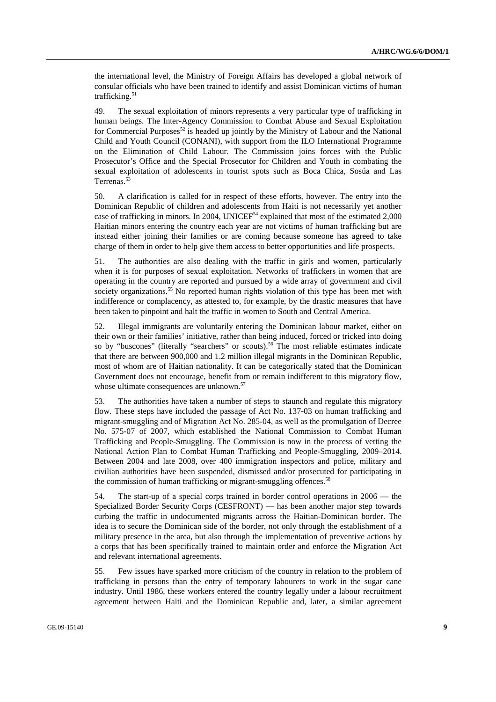the international level, the Ministry of Foreign Affairs has developed a global network of consular officials who have been trained to identify and assist Dominican victims of human trafficking.<sup>51</sup>

49. The sexual exploitation of minors represents a very particular type of trafficking in human beings. The Inter-Agency Commission to Combat Abuse and Sexual Exploitation for Commercial Purposes<sup>52</sup> is headed up jointly by the Ministry of Labour and the National Child and Youth Council (CONANI), with support from the ILO International Programme on the Elimination of Child Labour. The Commission joins forces with the Public Prosecutor's Office and the Special Prosecutor for Children and Youth in combating the sexual exploitation of adolescents in tourist spots such as Boca Chica, Sosúa and Las Terrenas.<sup>53</sup>

50. A clarification is called for in respect of these efforts, however. The entry into the Dominican Republic of children and adolescents from Haiti is not necessarily yet another case of trafficking in minors. In 2004, UNICEF $54$  explained that most of the estimated 2,000 Haitian minors entering the country each year are not victims of human trafficking but are instead either joining their families or are coming because someone has agreed to take charge of them in order to help give them access to better opportunities and life prospects.

51. The authorities are also dealing with the traffic in girls and women, particularly when it is for purposes of sexual exploitation. Networks of traffickers in women that are operating in the country are reported and pursued by a wide array of government and civil society organizations.<sup>55</sup> No reported human rights violation of this type has been met with indifference or complacency, as attested to, for example, by the drastic measures that have been taken to pinpoint and halt the traffic in women to South and Central America.

52. Illegal immigrants are voluntarily entering the Dominican labour market, either on their own or their families' initiative, rather than being induced, forced or tricked into doing so by "buscones" (literally "searchers" or scouts).<sup>56</sup> The most reliable estimates indicate that there are between 900,000 and 1.2 million illegal migrants in the Dominican Republic, most of whom are of Haitian nationality. It can be categorically stated that the Dominican Government does not encourage, benefit from or remain indifferent to this migratory flow, whose ultimate consequences are unknown.<sup>57</sup>

53. The authorities have taken a number of steps to staunch and regulate this migratory flow. These steps have included the passage of Act No. 137-03 on human trafficking and migrant-smuggling and of Migration Act No. 285-04, as well as the promulgation of Decree No. 575-07 of 2007, which established the National Commission to Combat Human Trafficking and People-Smuggling. The Commission is now in the process of vetting the National Action Plan to Combat Human Trafficking and People-Smuggling, 2009–2014. Between 2004 and late 2008, over 400 immigration inspectors and police, military and civilian authorities have been suspended, dismissed and/or prosecuted for participating in the commission of human trafficking or migrant-smuggling offences.<sup>58</sup>

54. The start-up of a special corps trained in border control operations in 2006 — the Specialized Border Security Corps (CESFRONT) — has been another major step towards curbing the traffic in undocumented migrants across the Haitian-Dominican border. The idea is to secure the Dominican side of the border, not only through the establishment of a military presence in the area, but also through the implementation of preventive actions by a corps that has been specifically trained to maintain order and enforce the Migration Act and relevant international agreements.

55. Few issues have sparked more criticism of the country in relation to the problem of trafficking in persons than the entry of temporary labourers to work in the sugar cane industry. Until 1986, these workers entered the country legally under a labour recruitment agreement between Haiti and the Dominican Republic and, later, a similar agreement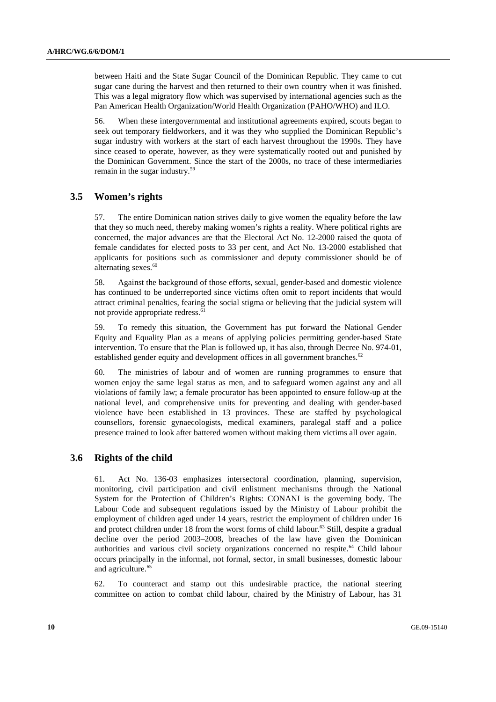between Haiti and the State Sugar Council of the Dominican Republic. They came to cut sugar cane during the harvest and then returned to their own country when it was finished. This was a legal migratory flow which was supervised by international agencies such as the Pan American Health Organization/World Health Organization (PAHO/WHO) and ILO.

56. When these intergovernmental and institutional agreements expired, scouts began to seek out temporary fieldworkers, and it was they who supplied the Dominican Republic's sugar industry with workers at the start of each harvest throughout the 1990s. They have since ceased to operate, however, as they were systematically rooted out and punished by the Dominican Government. Since the start of the 2000s, no trace of these intermediaries remain in the sugar industry.59

#### **3.5 Women's rights**

57. The entire Dominican nation strives daily to give women the equality before the law that they so much need, thereby making women's rights a reality. Where political rights are concerned, the major advances are that the Electoral Act No. 12-2000 raised the quota of female candidates for elected posts to 33 per cent, and Act No. 13-2000 established that applicants for positions such as commissioner and deputy commissioner should be of alternating sexes.<sup>60</sup>

58. Against the background of those efforts, sexual, gender-based and domestic violence has continued to be underreported since victims often omit to report incidents that would attract criminal penalties, fearing the social stigma or believing that the judicial system will not provide appropriate redress.<sup>61</sup>

59. To remedy this situation, the Government has put forward the National Gender Equity and Equality Plan as a means of applying policies permitting gender-based State intervention. To ensure that the Plan is followed up, it has also, through Decree No. 974-01, established gender equity and development offices in all government branches.<sup>62</sup>

60. The ministries of labour and of women are running programmes to ensure that women enjoy the same legal status as men, and to safeguard women against any and all violations of family law; a female procurator has been appointed to ensure follow-up at the national level, and comprehensive units for preventing and dealing with gender-based violence have been established in 13 provinces. These are staffed by psychological counsellors, forensic gynaecologists, medical examiners, paralegal staff and a police presence trained to look after battered women without making them victims all over again.

#### **3.6 Rights of the child**

61. Act No. 136-03 emphasizes intersectoral coordination, planning, supervision, monitoring, civil participation and civil enlistment mechanisms through the National System for the Protection of Children's Rights: CONANI is the governing body. The Labour Code and subsequent regulations issued by the Ministry of Labour prohibit the employment of children aged under 14 years, restrict the employment of children under 16 and protect children under 18 from the worst forms of child labour.<sup>63</sup> Still, despite a gradual decline over the period 2003–2008, breaches of the law have given the Dominican authorities and various civil society organizations concerned no respite.<sup>64</sup> Child labour occurs principally in the informal, not formal, sector, in small businesses, domestic labour and agriculture.<sup>65</sup>

62. To counteract and stamp out this undesirable practice, the national steering committee on action to combat child labour, chaired by the Ministry of Labour, has 31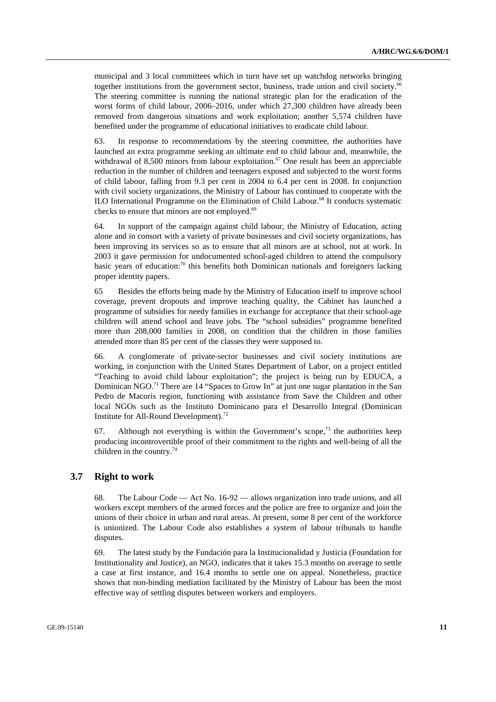municipal and 3 local committees which in turn have set up watchdog networks bringing together institutions from the government sector, business, trade union and civil society.<sup>66</sup> The steering committee is running the national strategic plan for the eradication of the worst forms of child labour, 2006–2016, under which 27,300 children have already been removed from dangerous situations and work exploitation; another 5,574 children have benefited under the programme of educational initiatives to eradicate child labour.

63. In response to recommendations by the steering committee, the authorities have launched an extra programme seeking an ultimate end to child labour and, meanwhile, the withdrawal of 8,500 minors from labour exploitation.<sup>67</sup> One result has been an appreciable reduction in the number of children and teenagers exposed and subjected to the worst forms of child labour, falling from 9.3 per cent in 2004 to 6.4 per cent in 2008. In conjunction with civil society organizations, the Ministry of Labour has continued to cooperate with the ILO International Programme on the Elimination of Child Labour.68 It conducts systematic checks to ensure that minors are not employed.<sup>69</sup>

64. In support of the campaign against child labour, the Ministry of Education, acting alone and in consort with a variety of private businesses and civil society organizations, has been improving its services so as to ensure that all minors are at school, not at work. In 2003 it gave permission for undocumented school-aged children to attend the compulsory basic years of education:<sup>70</sup> this benefits both Dominican nationals and foreigners lacking proper identity papers.

65 Besides the efforts being made by the Ministry of Education itself to improve school coverage, prevent dropouts and improve teaching quality, the Cabinet has launched a programme of subsidies for needy families in exchange for acceptance that their school-age children will attend school and leave jobs. The "school subsidies" programme benefited more than 208,000 families in 2008, on condition that the children in those families attended more than 85 per cent of the classes they were supposed to.

66. A conglomerate of private-sector businesses and civil society institutions are working, in conjunction with the United States Department of Labor, on a project entitled "Teaching to avoid child labour exploitation"; the project is being run by EDUCA, a Dominican NGO.<sup>71</sup> There are 14 "Spaces to Grow In" at just one sugar plantation in the San Pedro de Macoris region, functioning with assistance from Save the Children and other local NGOs such as the Instituto Dominicano para el Desarrollo Integral (Dominican Institute for All-Round Development).<sup>72</sup>

67. Although not everything is within the Government's scope, $7<sup>3</sup>$  the authorities keep producing incontrovertible proof of their commitment to the rights and well-being of all the children in the country.<sup>74</sup>

#### **3.7 Right to work**

68. The Labour Code — Act No. 16-92 — allows organization into trade unions, and all workers except members of the armed forces and the police are free to organize and join the unions of their choice in urban and rural areas. At present, some 8 per cent of the workforce is unionized. The Labour Code also establishes a system of labour tribunals to handle disputes.

69. The latest study by the Fundación para la Institucionalidad y Justicia (Foundation for Institutionality and Justice), an NGO, indicates that it takes 15.3 months on average to settle a case at first instance, and 16.4 months to settle one on appeal. Nonetheless, practice shows that non-binding mediation facilitated by the Ministry of Labour has been the most effective way of settling disputes between workers and employers.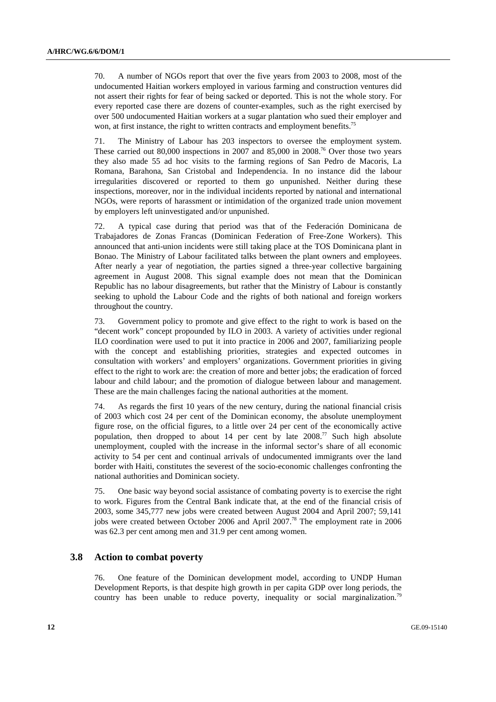70. A number of NGOs report that over the five years from 2003 to 2008, most of the undocumented Haitian workers employed in various farming and construction ventures did not assert their rights for fear of being sacked or deported. This is not the whole story. For every reported case there are dozens of counter-examples, such as the right exercised by over 500 undocumented Haitian workers at a sugar plantation who sued their employer and won, at first instance, the right to written contracts and employment benefits.<sup>75</sup>

71. The Ministry of Labour has 203 inspectors to oversee the employment system. These carried out 80,000 inspections in 2007 and 85,000 in 2008.<sup>76</sup> Over those two years they also made 55 ad hoc visits to the farming regions of San Pedro de Macoris, La Romana, Barahona, San Cristobal and Independencia. In no instance did the labour irregularities discovered or reported to them go unpunished. Neither during these inspections, moreover, nor in the individual incidents reported by national and international NGOs, were reports of harassment or intimidation of the organized trade union movement by employers left uninvestigated and/or unpunished.

72. A typical case during that period was that of the Federación Dominicana de Trabajadores de Zonas Francas (Dominican Federation of Free-Zone Workers). This announced that anti-union incidents were still taking place at the TOS Dominicana plant in Bonao. The Ministry of Labour facilitated talks between the plant owners and employees. After nearly a year of negotiation, the parties signed a three-year collective bargaining agreement in August 2008. This signal example does not mean that the Dominican Republic has no labour disagreements, but rather that the Ministry of Labour is constantly seeking to uphold the Labour Code and the rights of both national and foreign workers throughout the country.

73. Government policy to promote and give effect to the right to work is based on the "decent work" concept propounded by ILO in 2003. A variety of activities under regional ILO coordination were used to put it into practice in 2006 and 2007, familiarizing people with the concept and establishing priorities, strategies and expected outcomes in consultation with workers' and employers' organizations. Government priorities in giving effect to the right to work are: the creation of more and better jobs; the eradication of forced labour and child labour; and the promotion of dialogue between labour and management. These are the main challenges facing the national authorities at the moment.

74. As regards the first 10 years of the new century, during the national financial crisis of 2003 which cost 24 per cent of the Dominican economy, the absolute unemployment figure rose, on the official figures, to a little over 24 per cent of the economically active population, then dropped to about 14 per cent by late 2008.77 Such high absolute unemployment, coupled with the increase in the informal sector's share of all economic activity to 54 per cent and continual arrivals of undocumented immigrants over the land border with Haiti, constitutes the severest of the socio-economic challenges confronting the national authorities and Dominican society.

75. One basic way beyond social assistance of combating poverty is to exercise the right to work. Figures from the Central Bank indicate that, at the end of the financial crisis of 2003, some 345,777 new jobs were created between August 2004 and April 2007; 59,141 jobs were created between October 2006 and April 2007.78 The employment rate in 2006 was 62.3 per cent among men and 31.9 per cent among women.

### **3.8 Action to combat poverty**

76. One feature of the Dominican development model, according to UNDP Human Development Reports, is that despite high growth in per capita GDP over long periods, the country has been unable to reduce poverty, inequality or social marginalization.<sup>79</sup>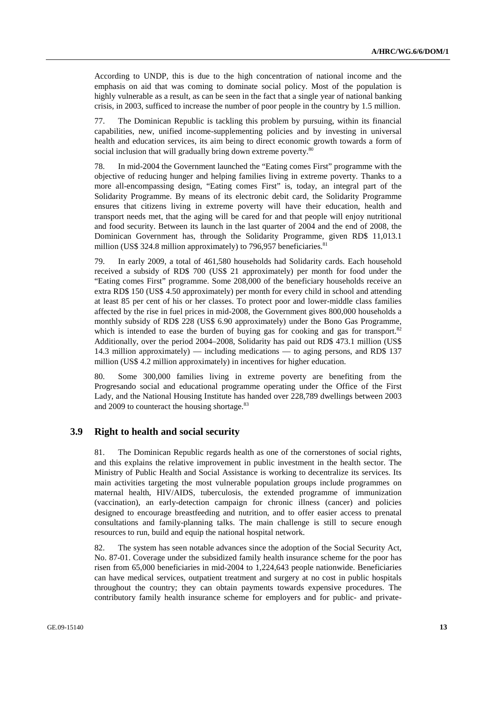According to UNDP, this is due to the high concentration of national income and the emphasis on aid that was coming to dominate social policy. Most of the population is highly vulnerable as a result, as can be seen in the fact that a single year of national banking crisis, in 2003, sufficed to increase the number of poor people in the country by 1.5 million.

77. The Dominican Republic is tackling this problem by pursuing, within its financial capabilities, new, unified income-supplementing policies and by investing in universal health and education services, its aim being to direct economic growth towards a form of social inclusion that will gradually bring down extreme poverty.<sup>80</sup>

78. In mid-2004 the Government launched the "Eating comes First" programme with the objective of reducing hunger and helping families living in extreme poverty. Thanks to a more all-encompassing design, "Eating comes First" is, today, an integral part of the Solidarity Programme. By means of its electronic debit card, the Solidarity Programme ensures that citizens living in extreme poverty will have their education, health and transport needs met, that the aging will be cared for and that people will enjoy nutritional and food security. Between its launch in the last quarter of 2004 and the end of 2008, the Dominican Government has, through the Solidarity Programme, given RD\$ 11,013.1 million (US\$ 324.8 million approximately) to 796,957 beneficiaries. $81$ 

79. In early 2009, a total of 461,580 households had Solidarity cards. Each household received a subsidy of RD\$ 700 (US\$ 21 approximately) per month for food under the "Eating comes First" programme. Some 208,000 of the beneficiary households receive an extra RD\$ 150 (US\$ 4.50 approximately) per month for every child in school and attending at least 85 per cent of his or her classes. To protect poor and lower-middle class families affected by the rise in fuel prices in mid-2008, the Government gives 800,000 households a monthly subsidy of RD\$ 228 (US\$ 6.90 approximately) under the Bono Gas Programme, which is intended to ease the burden of buying gas for cooking and gas for transport. $82$ Additionally, over the period 2004–2008, Solidarity has paid out RD\$ 473.1 million (US\$ 14.3 million approximately) — including medications — to aging persons, and RD\$ 137 million (US\$ 4.2 million approximately) in incentives for higher education.

80. Some 300,000 families living in extreme poverty are benefiting from the Progresando social and educational programme operating under the Office of the First Lady, and the National Housing Institute has handed over 228,789 dwellings between 2003 and 2009 to counteract the housing shortage.<sup>83</sup>

#### **3.9 Right to health and social security**

81. The Dominican Republic regards health as one of the cornerstones of social rights, and this explains the relative improvement in public investment in the health sector. The Ministry of Public Health and Social Assistance is working to decentralize its services. Its main activities targeting the most vulnerable population groups include programmes on maternal health, HIV/AIDS, tuberculosis, the extended programme of immunization (vaccination), an early-detection campaign for chronic illness (cancer) and policies designed to encourage breastfeeding and nutrition, and to offer easier access to prenatal consultations and family-planning talks. The main challenge is still to secure enough resources to run, build and equip the national hospital network.

82. The system has seen notable advances since the adoption of the Social Security Act, No. 87-01. Coverage under the subsidized family health insurance scheme for the poor has risen from 65,000 beneficiaries in mid-2004 to 1,224,643 people nationwide. Beneficiaries can have medical services, outpatient treatment and surgery at no cost in public hospitals throughout the country; they can obtain payments towards expensive procedures. The contributory family health insurance scheme for employers and for public- and private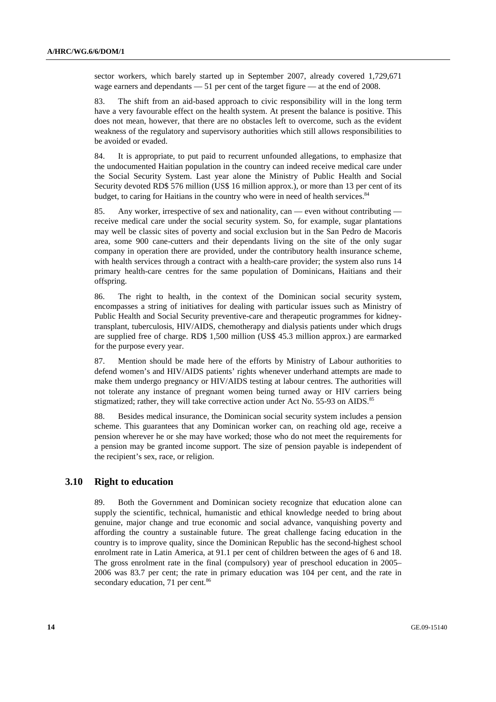sector workers, which barely started up in September 2007, already covered 1,729,671 wage earners and dependants — 51 per cent of the target figure — at the end of 2008.

83. The shift from an aid-based approach to civic responsibility will in the long term have a very favourable effect on the health system. At present the balance is positive. This does not mean, however, that there are no obstacles left to overcome, such as the evident weakness of the regulatory and supervisory authorities which still allows responsibilities to be avoided or evaded.

84. It is appropriate, to put paid to recurrent unfounded allegations, to emphasize that the undocumented Haitian population in the country can indeed receive medical care under the Social Security System. Last year alone the Ministry of Public Health and Social Security devoted RD\$ 576 million (US\$ 16 million approx.), or more than 13 per cent of its budget, to caring for Haitians in the country who were in need of health services.<sup>84</sup>

85. Any worker, irrespective of sex and nationality, can — even without contributing receive medical care under the social security system. So, for example, sugar plantations may well be classic sites of poverty and social exclusion but in the San Pedro de Macoris area, some 900 cane-cutters and their dependants living on the site of the only sugar company in operation there are provided, under the contributory health insurance scheme, with health services through a contract with a health-care provider; the system also runs 14 primary health-care centres for the same population of Dominicans, Haitians and their offspring.

86. The right to health, in the context of the Dominican social security system, encompasses a string of initiatives for dealing with particular issues such as Ministry of Public Health and Social Security preventive-care and therapeutic programmes for kidneytransplant, tuberculosis, HIV/AIDS, chemotherapy and dialysis patients under which drugs are supplied free of charge. RD\$ 1,500 million (US\$ 45.3 million approx.) are earmarked for the purpose every year.

87. Mention should be made here of the efforts by Ministry of Labour authorities to defend women's and HIV/AIDS patients' rights whenever underhand attempts are made to make them undergo pregnancy or HIV/AIDS testing at labour centres. The authorities will not tolerate any instance of pregnant women being turned away or HIV carriers being stigmatized; rather, they will take corrective action under Act No. 55-93 on AIDS.<sup>85</sup>

88. Besides medical insurance, the Dominican social security system includes a pension scheme. This guarantees that any Dominican worker can, on reaching old age, receive a pension wherever he or she may have worked; those who do not meet the requirements for a pension may be granted income support. The size of pension payable is independent of the recipient's sex, race, or religion.

#### **3.10 Right to education**

89. Both the Government and Dominican society recognize that education alone can supply the scientific, technical, humanistic and ethical knowledge needed to bring about genuine, major change and true economic and social advance, vanquishing poverty and affording the country a sustainable future. The great challenge facing education in the country is to improve quality, since the Dominican Republic has the second-highest school enrolment rate in Latin America, at 91.1 per cent of children between the ages of 6 and 18. The gross enrolment rate in the final (compulsory) year of preschool education in 2005– 2006 was 83.7 per cent; the rate in primary education was 104 per cent, and the rate in secondary education, 71 per cent.<sup>86</sup>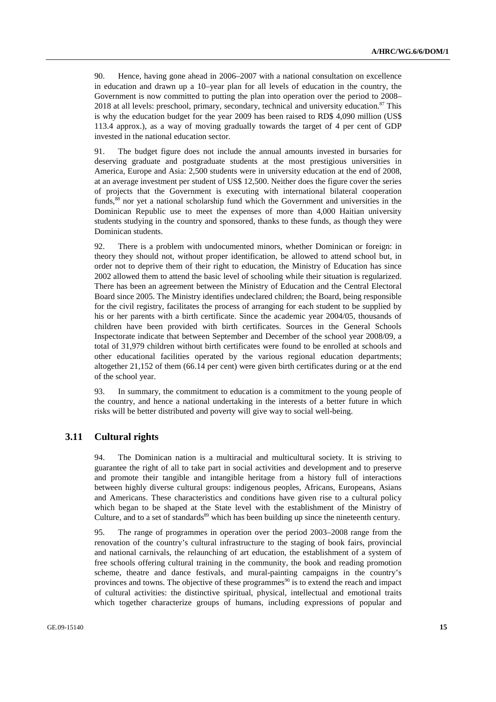90. Hence, having gone ahead in 2006–2007 with a national consultation on excellence in education and drawn up a 10–year plan for all levels of education in the country, the Government is now committed to putting the plan into operation over the period to 2008– 2018 at all levels: preschool, primary, secondary, technical and university education. $87$  This is why the education budget for the year 2009 has been raised to RD\$ 4,090 million (US\$ 113.4 approx.), as a way of moving gradually towards the target of 4 per cent of GDP invested in the national education sector.

91. The budget figure does not include the annual amounts invested in bursaries for deserving graduate and postgraduate students at the most prestigious universities in America, Europe and Asia: 2,500 students were in university education at the end of 2008, at an average investment per student of US\$ 12,500. Neither does the figure cover the series of projects that the Government is executing with international bilateral cooperation funds,<sup>88</sup> nor yet a national scholarship fund which the Government and universities in the Dominican Republic use to meet the expenses of more than 4,000 Haitian university students studying in the country and sponsored, thanks to these funds, as though they were Dominican students.

92. There is a problem with undocumented minors, whether Dominican or foreign: in theory they should not, without proper identification, be allowed to attend school but, in order not to deprive them of their right to education, the Ministry of Education has since 2002 allowed them to attend the basic level of schooling while their situation is regularized. There has been an agreement between the Ministry of Education and the Central Electoral Board since 2005. The Ministry identifies undeclared children; the Board, being responsible for the civil registry, facilitates the process of arranging for each student to be supplied by his or her parents with a birth certificate. Since the academic year 2004/05, thousands of children have been provided with birth certificates. Sources in the General Schools Inspectorate indicate that between September and December of the school year 2008/09, a total of 31,979 children without birth certificates were found to be enrolled at schools and other educational facilities operated by the various regional education departments; altogether 21,152 of them (66.14 per cent) were given birth certificates during or at the end of the school year.

93. In summary, the commitment to education is a commitment to the young people of the country, and hence a national undertaking in the interests of a better future in which risks will be better distributed and poverty will give way to social well-being.

#### **3.11 Cultural rights**

94. The Dominican nation is a multiracial and multicultural society. It is striving to guarantee the right of all to take part in social activities and development and to preserve and promote their tangible and intangible heritage from a history full of interactions between highly diverse cultural groups: indigenous peoples, Africans, Europeans, Asians and Americans. These characteristics and conditions have given rise to a cultural policy which began to be shaped at the State level with the establishment of the Ministry of Culture, and to a set of standards<sup>89</sup> which has been building up since the nineteenth century.

95. The range of programmes in operation over the period 2003–2008 range from the renovation of the country's cultural infrastructure to the staging of book fairs, provincial and national carnivals, the relaunching of art education, the establishment of a system of free schools offering cultural training in the community, the book and reading promotion scheme, theatre and dance festivals, and mural-painting campaigns in the country's provinces and towns. The objective of these programmes<sup>90</sup> is to extend the reach and impact of cultural activities: the distinctive spiritual, physical, intellectual and emotional traits which together characterize groups of humans, including expressions of popular and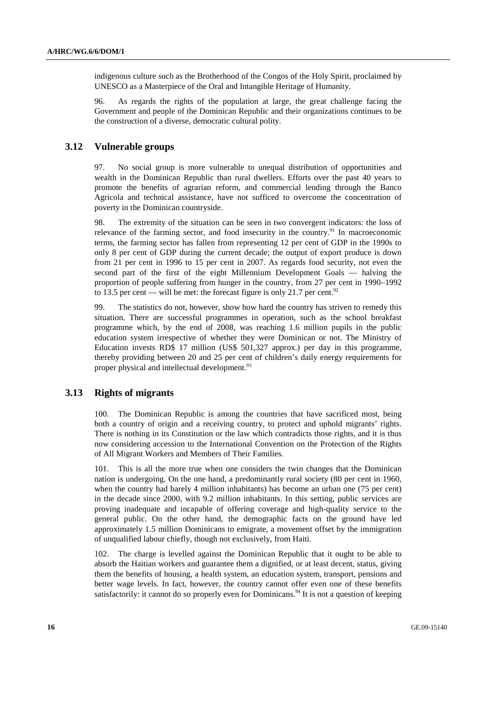indigenous culture such as the Brotherhood of the Congos of the Holy Spirit, proclaimed by UNESCO as a Masterpiece of the Oral and Intangible Heritage of Humanity.

96. As regards the rights of the population at large, the great challenge facing the Government and people of the Dominican Republic and their organizations continues to be the construction of a diverse, democratic cultural polity.

#### **3.12 Vulnerable groups**

97. No social group is more vulnerable to unequal distribution of opportunities and wealth in the Dominican Republic than rural dwellers. Efforts over the past 40 years to promote the benefits of agrarian reform, and commercial lending through the Banco Agricola and technical assistance, have not sufficed to overcome the concentration of poverty in the Dominican countryside.

98. The extremity of the situation can be seen in two convergent indicators: the loss of relevance of the farming sector, and food insecurity in the country.<sup>91</sup> In macroeconomic terms, the farming sector has fallen from representing 12 per cent of GDP in the 1990s to only 8 per cent of GDP during the current decade; the output of export produce is down from 21 per cent in 1996 to 15 per cent in 2007. As regards food security, not even the second part of the first of the eight Millennium Development Goals — halving the proportion of people suffering from hunger in the country, from 27 per cent in 1990–1992 to 13.5 per cent — will be met: the forecast figure is only 21.7 per cent.<sup>92</sup>

99. The statistics do not, however, show how hard the country has striven to remedy this situation. There are successful programmes in operation, such as the school breakfast programme which, by the end of 2008, was reaching 1.6 million pupils in the public education system irrespective of whether they were Dominican or not. The Ministry of Education invests RD\$ 17 million (US\$ 501,327 approx.) per day in this programme, thereby providing between 20 and 25 per cent of children's daily energy requirements for proper physical and intellectual development.<sup>93</sup>

#### **3.13 Rights of migrants**

100. The Dominican Republic is among the countries that have sacrificed most, being both a country of origin and a receiving country, to protect and uphold migrants' rights. There is nothing in its Constitution or the law which contradicts those rights, and it is thus now considering accession to the International Convention on the Protection of the Rights of All Migrant Workers and Members of Their Families.

101. This is all the more true when one considers the twin changes that the Dominican nation is undergoing. On the one hand, a predominantly rural society (80 per cent in 1960, when the country had barely 4 million inhabitants) has become an urban one (75 per cent) in the decade since 2000, with 9.2 million inhabitants. In this setting, public services are proving inadequate and incapable of offering coverage and high-quality service to the general public. On the other hand, the demographic facts on the ground have led approximately 1.5 million Dominicans to emigrate, a movement offset by the immigration of unqualified labour chiefly, though not exclusively, from Haiti.

102. The charge is levelled against the Dominican Republic that it ought to be able to absorb the Haitian workers and guarantee them a dignified, or at least decent, status, giving them the benefits of housing, a health system, an education system, transport, pensions and better wage levels. In fact, however, the country cannot offer even one of these benefits satisfactorily: it cannot do so properly even for Dominicans.<sup>94</sup> It is not a question of keeping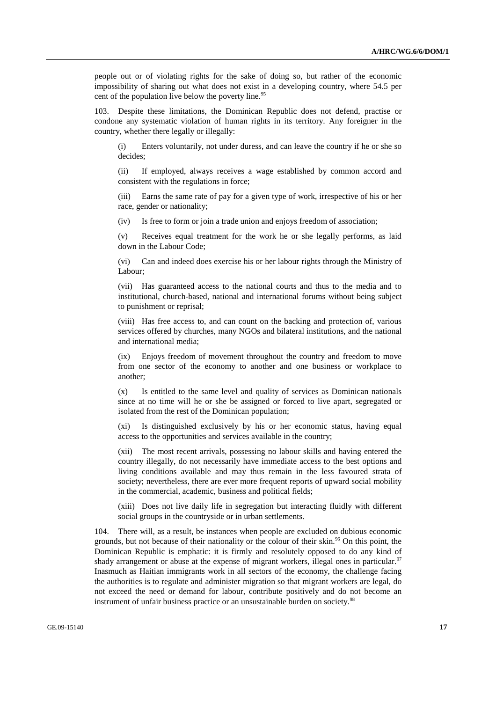people out or of violating rights for the sake of doing so, but rather of the economic impossibility of sharing out what does not exist in a developing country, where 54.5 per cent of the population live below the poverty line.<sup>95</sup>

103. Despite these limitations, the Dominican Republic does not defend, practise or condone any systematic violation of human rights in its territory. Any foreigner in the country, whether there legally or illegally:

(i) Enters voluntarily, not under duress, and can leave the country if he or she so decides;

(ii) If employed, always receives a wage established by common accord and consistent with the regulations in force;

(iii) Earns the same rate of pay for a given type of work, irrespective of his or her race, gender or nationality;

(iv) Is free to form or join a trade union and enjoys freedom of association;

(v) Receives equal treatment for the work he or she legally performs, as laid down in the Labour Code;

(vi) Can and indeed does exercise his or her labour rights through the Ministry of Labour;

(vii) Has guaranteed access to the national courts and thus to the media and to institutional, church-based, national and international forums without being subject to punishment or reprisal;

(viii) Has free access to, and can count on the backing and protection of, various services offered by churches, many NGOs and bilateral institutions, and the national and international media;

(ix) Enjoys freedom of movement throughout the country and freedom to move from one sector of the economy to another and one business or workplace to another;

(x) Is entitled to the same level and quality of services as Dominican nationals since at no time will he or she be assigned or forced to live apart, segregated or isolated from the rest of the Dominican population;

(xi) Is distinguished exclusively by his or her economic status, having equal access to the opportunities and services available in the country;

(xii) The most recent arrivals, possessing no labour skills and having entered the country illegally, do not necessarily have immediate access to the best options and living conditions available and may thus remain in the less favoured strata of society; nevertheless, there are ever more frequent reports of upward social mobility in the commercial, academic, business and political fields;

(xiii) Does not live daily life in segregation but interacting fluidly with different social groups in the countryside or in urban settlements.

104. There will, as a result, be instances when people are excluded on dubious economic grounds, but not because of their nationality or the colour of their skin.<sup>96</sup> On this point, the Dominican Republic is emphatic: it is firmly and resolutely opposed to do any kind of shady arrangement or abuse at the expense of migrant workers, illegal ones in particular.<sup>97</sup> Inasmuch as Haitian immigrants work in all sectors of the economy, the challenge facing the authorities is to regulate and administer migration so that migrant workers are legal, do not exceed the need or demand for labour, contribute positively and do not become an instrument of unfair business practice or an unsustainable burden on society.<sup>98</sup>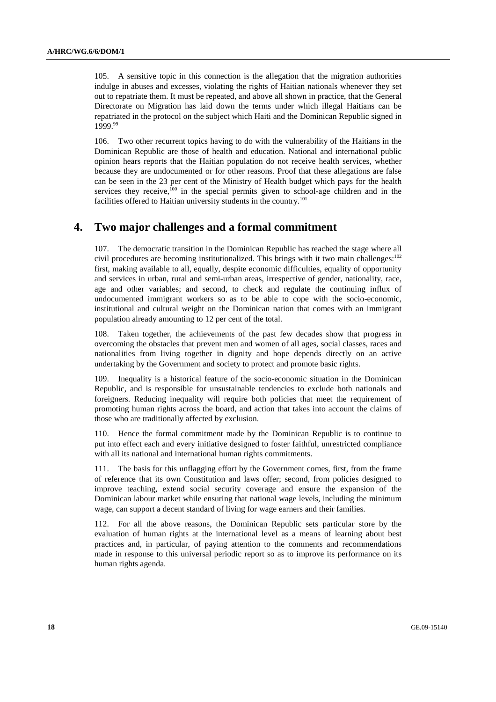105. A sensitive topic in this connection is the allegation that the migration authorities indulge in abuses and excesses, violating the rights of Haitian nationals whenever they set out to repatriate them. It must be repeated, and above all shown in practice, that the General Directorate on Migration has laid down the terms under which illegal Haitians can be repatriated in the protocol on the subject which Haiti and the Dominican Republic signed in 1999.99

106. Two other recurrent topics having to do with the vulnerability of the Haitians in the Dominican Republic are those of health and education. National and international public opinion hears reports that the Haitian population do not receive health services, whether because they are undocumented or for other reasons. Proof that these allegations are false can be seen in the 23 per cent of the Ministry of Health budget which pays for the health services they receive, $100$  in the special permits given to school-age children and in the facilities offered to Haitian university students in the country.<sup>101</sup>

# **4. Two major challenges and a formal commitment**

107. The democratic transition in the Dominican Republic has reached the stage where all civil procedures are becoming institutionalized. This brings with it two main challenges: $102$ first, making available to all, equally, despite economic difficulties, equality of opportunity and services in urban, rural and semi-urban areas, irrespective of gender, nationality, race, age and other variables; and second, to check and regulate the continuing influx of undocumented immigrant workers so as to be able to cope with the socio-economic, institutional and cultural weight on the Dominican nation that comes with an immigrant population already amounting to 12 per cent of the total.

108. Taken together, the achievements of the past few decades show that progress in overcoming the obstacles that prevent men and women of all ages, social classes, races and nationalities from living together in dignity and hope depends directly on an active undertaking by the Government and society to protect and promote basic rights.

109. Inequality is a historical feature of the socio-economic situation in the Dominican Republic, and is responsible for unsustainable tendencies to exclude both nationals and foreigners. Reducing inequality will require both policies that meet the requirement of promoting human rights across the board, and action that takes into account the claims of those who are traditionally affected by exclusion.

110. Hence the formal commitment made by the Dominican Republic is to continue to put into effect each and every initiative designed to foster faithful, unrestricted compliance with all its national and international human rights commitments.

111. The basis for this unflagging effort by the Government comes, first, from the frame of reference that its own Constitution and laws offer; second, from policies designed to improve teaching, extend social security coverage and ensure the expansion of the Dominican labour market while ensuring that national wage levels, including the minimum wage, can support a decent standard of living for wage earners and their families.

112. For all the above reasons, the Dominican Republic sets particular store by the evaluation of human rights at the international level as a means of learning about best practices and, in particular, of paying attention to the comments and recommendations made in response to this universal periodic report so as to improve its performance on its human rights agenda.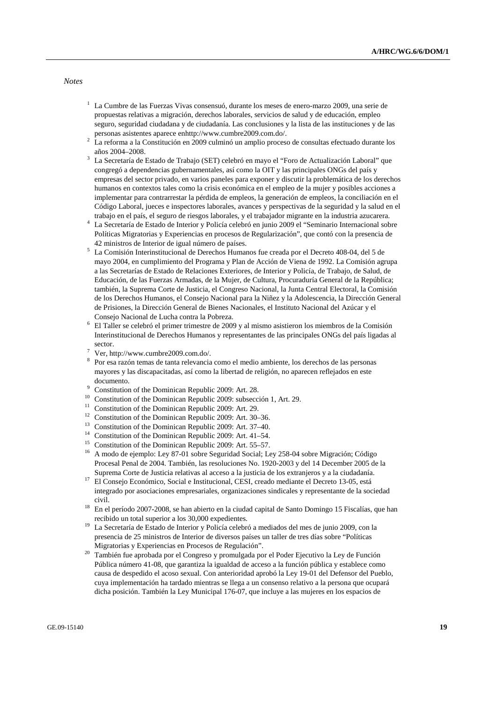*Notes* 

- 1 La Cumbre de las Fuerzas Vivas consensuó, durante los meses de enero-marzo 2009, una serie de propuestas relativas a migración, derechos laborales, servicios de salud y de educación, empleo seguro, seguridad ciudadana y de ciudadanía. Las conclusiones y la lista de las instituciones y de las personas asistentes aparece enhttp://www.cumbre2009.com.do/.<br><sup>2</sup> La reforma a la Constitución en 2009 culminó un amplio process
- La reforma a la Constitución en 2009 culminó un amplio proceso de consultas efectuado durante los años 2004–2008. 3
- La Secretaría de Estado de Trabajo (SET) celebró en mayo el "Foro de Actualización Laboral" que congregó a dependencias gubernamentales, así como la OIT y las principales ONGs del país y empresas del sector privado, en varios paneles para exponer y discutir la problemática de los derechos humanos en contextos tales como la crisis económica en el empleo de la mujer y posibles acciones a implementar para contrarrestar la pérdida de empleos, la generación de empleos, la conciliación en el Código Laboral, jueces e inspectores laborales, avances y perspectivas de la seguridad y la salud en el trabajo en el país, el seguro de riesgos laborales, y el trabajador migrante en la industria azucarera. 4
- La Secretaría de Estado de Interior y Policía celebró en junio 2009 el "Seminario Internacional sobre Políticas Migratorias y Experiencias en procesos de Regularización", que contó con la presencia de
- 42 ministros de Interior de igual número de países. 5 La Comisión Interinstitucional de Derechos Humanos fue creada por el Decreto 408-04, del 5 de mayo 2004, en cumplimiento del Programa y Plan de Acción de Viena de 1992. La Comisión agrupa a las Secretarías de Estado de Relaciones Exteriores, de Interior y Policía, de Trabajo, de Salud, de Educación, de las Fuerzas Armadas, de la Mujer, de Cultura, Procuraduría General de la República; también, la Suprema Corte de Justicia, el Congreso Nacional, la Junta Central Electoral, la Comisión de los Derechos Humanos, el Consejo Nacional para la Niñez y la Adolescencia, la Dirección General de Prisiones, la Dirección General de Bienes Nacionales, el Instituto Nacional del Azúcar y el Consejo Nacional de Lucha contra la Pobreza. 6
- El Taller se celebró el primer trimestre de 2009 y al mismo asistieron los miembros de la Comisión Interinstitucional de Derechos Humanos y representantes de las principales ONGs del país ligadas al sector.
- Ver, http://www.cumbre2009.com.do/.
- <sup>8</sup> Por esa razón temas de tanta relevancia como el medio ambiente, los derechos de las personas mayores y las discapacitadas, así como la libertad de religión, no aparecen reflejados en este documento.
- $^{9}$  Constitution of the Dominican Republic 2009: Art. 28.
- <sup>10</sup> Constitution of the Dominican Republic 2009: subsección 1, Art. 29.
- Constitution of the Dominican Republic 2009: Art. 29.
- <sup>12</sup> Constitution of the Dominican Republic 2009: Art. 30–36.<br><sup>13</sup> Constitution of the Dominican Dominii: 2000: Art. 27, 40.
- 13 Constitution of the Dominican Republic 2009: Art. 37–40.
- <sup>14</sup> Constitution of the Dominican Republic 2009: Art. 41–54.
- <sup>15</sup> Constitution of the Dominican Republic 2009: Art. 55–57.
- <sup>16</sup> A modo de ejemplo: Ley 87-01 sobre Seguridad Social; Ley 258-04 sobre Migración; Código Procesal Penal de 2004. También, las resoluciones No. 1920-2003 y del 14 December 2005 de la
- Suprema Corte de Justicia relativas al acceso a la justicia de los extranjeros y a la ciudadanía. 17 El Consejo Económico, Social e Institucional, CESI, creado mediante el Decreto 13-05, está integrado por asociaciones empresariales, organizaciones sindicales y representante de la sociedad
- civil. 18 En el período 2007-2008, se han abierto en la ciudad capital de Santo Domingo 15 Fiscalías, que han recibido un total superior a los 30,000 expedientes. 19 La Secretaría de Estado de Interior y Policía celebró a mediados del mes de junio 2009, con la
- presencia de 25 ministros de Interior de diversos países un taller de tres días sobre "Políticas
- Migratorias y Experiencias en Procesos de Regulación". 20 También fue aprobada por el Congreso y promulgada por el Poder Ejecutivo la Ley de Función Pública número 41-08, que garantiza la igualdad de acceso a la función pública y establece como causa de despedido el acoso sexual. Con anterioridad aprobó la Ley 19-01 del Defensor del Pueblo, cuya implementación ha tardado mientras se llega a un consenso relativo a la persona que ocupará dicha posición. También la Ley Municipal 176-07, que incluye a las mujeres en los espacios de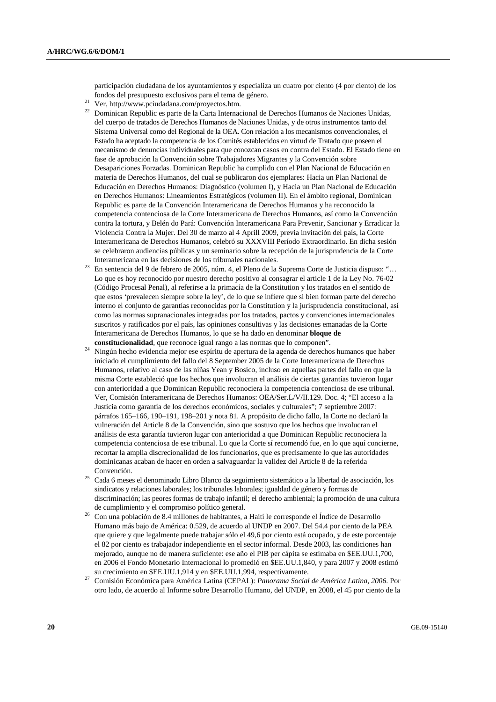participación ciudadana de los ayuntamientos y especializa un cuatro por ciento (4 por ciento) de los fondos del presupuesto exclusivos para el tema de género. 21 Ver, http://www.pciudadana.com/proyectos.htm.

- 
- <sup>22</sup> Dominican Republic es parte de la Carta Internacional de Derechos Humanos de Naciones Unidas, del cuerpo de tratados de Derechos Humanos de Naciones Unidas, y de otros instrumentos tanto del Sistema Universal como del Regional de la OEA. Con relación a los mecanismos convencionales, el Estado ha aceptado la competencia de los Comités establecidos en virtud de Tratado que poseen el mecanismo de denuncias individuales para que conozcan casos en contra del Estado. El Estado tiene en fase de aprobación la Convención sobre Trabajadores Migrantes y la Convención sobre Desapariciones Forzadas. Dominican Republic ha cumplido con el Plan Nacional de Educación en materia de Derechos Humanos, del cual se publicaron dos ejemplares: Hacia un Plan Nacional de Educación en Derechos Humanos: Diagnóstico (volumen I), y Hacia un Plan Nacional de Educación en Derechos Humanos: Lineamientos Estratégicos (volumen II). En el ámbito regional, Dominican Republic es parte de la Convención Interamericana de Derechos Humanos y ha reconocido la competencia contenciosa de la Corte Interamericana de Derechos Humanos, así como la Convención contra la tortura, y Belén do Pará: Convención Interamericana Para Prevenir, Sancionar y Erradicar la Violencia Contra la Mujer. Del 30 de marzo al 4 Aprill 2009, previa invitación del país, la Corte Interamericana de Derechos Humanos, celebró su XXXVIII Período Extraordinario. En dicha sesión se celebraron audiencias públicas y un seminario sobre la recepción de la jurisprudencia de la Corte
- Interamericana en las decisiones de los tribunales nacionales.<br>En sentencia del 9 de febrero de 2005, núm. 4, el Pleno de la Suprema Corte de Justicia dispuso: "… Lo que es hoy reconocido por nuestro derecho positivo al consagrar el article 1 de la Ley No. 76-02 (Código Procesal Penal), al referirse a la primacía de la Constitution y los tratados en el sentido de que estos 'prevalecen siempre sobre la ley', de lo que se infiere que si bien forman parte del derecho interno el conjunto de garantías reconocidas por la Constitution y la jurisprudencia constitucional, así como las normas supranacionales integradas por los tratados, pactos y convenciones internacionales suscritos y ratificados por el país, las opiniones consultivas y las decisiones emanadas de la Corte Interamericana de Derechos Humanos, lo que se ha dado en denominar **bloque de**
- Ningún hecho evidencia mejor ese espíritu de apertura de la agenda de derechos humanos que haber iniciado el cumplimiento del fallo del 8 September 2005 de la Corte Interamericana de Derechos Humanos, relativo al caso de las niñas Yean y Bosico, incluso en aquellas partes del fallo en que la misma Corte estableció que los hechos que involucran el análisis de ciertas garantías tuvieron lugar con anterioridad a que Dominican Republic reconociera la competencia contenciosa de ese tribunal. Ver, Comisión Interamericana de Derechos Humanos: OEA/Ser.L/V/II.129. Doc. 4; "El acceso a la Justicia como garantía de los derechos económicos, sociales y culturales"; 7 septiembre 2007: párrafos 165–166, 190–191, 198–201 y nota 81. A propósito de dicho fallo, la Corte no declaró la vulneración del Article 8 de la Convención, sino que sostuvo que los hechos que involucran el análisis de esta garantía tuvieron lugar con anterioridad a que Dominican Republic reconociera la competencia contenciosa de ese tribunal. Lo que la Corte sí recomendó fue, en lo que aquí concierne, recortar la amplia discrecionalidad de los funcionarios, que es precisamente lo que las autoridades dominicanas acaban de hacer en orden a salvaguardar la validez del Article 8 de la referida Convención. 25 Cada 6 meses el denominado Libro Blanco da seguimiento sistemático a la libertad de asociación, los
- sindicatos y relaciones laborales; los tribunales laborales; igualdad de género y formas de discriminación; las peores formas de trabajo infantil; el derecho ambiental; la promoción de una cultura
- de cumplimiento y el compromiso político general. 26 Con una población de 8.4 millones de habitantes, a Haití le corresponde el Índice de Desarrollo Humano más bajo de América: 0.529, de acuerdo al UNDP en 2007. Del 54.4 por ciento de la PEA que quiere y que legalmente puede trabajar sólo el 49,6 por ciento está ocupado, y de este porcentaje el 82 por ciento es trabajador independiente en el sector informal. Desde 2003, las condiciones han mejorado, aunque no de manera suficiente: ese año el PIB per cápita se estimaba en \$EE.UU.1,700, en 2006 el Fondo Monetario Internacional lo promedió en \$EE.UU.1,840, y para 2007 y 2008 estimó
- su crecimiento en \$EE.UU.1,914 y en \$EE.UU.1,994, respectivamente. 27 Comisión Económica para América Latina (CEPAL): *Panorama Social de América Latina, 2006*. Por otro lado, de acuerdo al Informe sobre Desarrollo Humano, del UNDP, en 2008, el 45 por ciento de la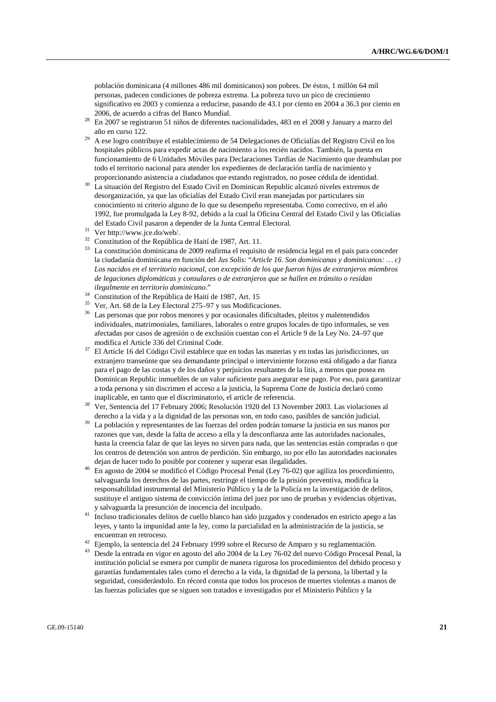población dominicana (4 millones 486 mil dominicanos) son pobres. De éstos, 1 millón 64 mil personas, padecen condiciones de pobreza extrema. La pobreza tuvo un pico de crecimiento significativo en 2003 y comienza a reducirse, pasando de 43.1 por ciento en 2004 a 36.3 por ciento en

- $^{28}$  En 2007 se registraron 51 niños de diferentes nacionalidades, 483 en el 2008 y January a marzo del año en curso 122. 29 A ese logro contribuye el establecimiento de 54 Delegaciones de Oficialías del Registro Civil en los
- hospitales públicos para expedir actas de nacimiento a los recién nacidos. También, la puesta en funcionamiento de 6 Unidades Móviles para Declaraciones Tardías de Nacimiento que deambulan por todo el territorio nacional para atender los expedientes de declaración tardía de nacimiento y
- proporcionando asistencia a ciudadanos que estando registrados, no posee cédula de identidad. 30 La situación del Registro del Estado Civil en Dominican Republic alcanzó niveles extremos de desorganización, ya que las oficialías del Estado Civil eran manejadas por particulares sin conocimiento ni criterio alguno de lo que su desempeño representaba. Como correctivo, en el año 1992, fue promulgada la Ley 8-92, debido a la cual la Oficina Central del Estado Civil y las Oficialías del Estado Civil pasaron a depender de la Junta Central Electoral. Ver http://www.jce.do/web/.
- 
- <sup>32</sup> Constitution of the República de Haití de 1987, Art. 11.
- 33 La constitución dominicana de 2009 reafirma el requisito de residencia legal en el país para conceder la ciudadanía dominicana en función del *Jus Solis*: "*Article 16. Son dominicanas y dominicanos: … c) Los nacidos en el territorio nacional, con excepción de los que fueron hijos de extranjeros miembros de legaciones diplomáticas y consulares o de extranjeros que se hallen en tránsito o residan*
- 
- *ilegalmente en territorio dominicano*." 34 Constitution of the República de Haití de 1987, Art. 15
- <sup>36</sup> Las personas que por robos menores y por ocasionales dificultades, pleitos y malentendidos individuales, matrimoniales, familiares, laborales o entre grupos locales de tipo informales, se ven afectadas por casos de agresión o de exclusión cuentan con el Article 9 de la Ley No. 24–97 que
- modifica el article 336 del Código Civil establece que en todas las materias y en todas las jurisdicciones, un extranjero transeúnte que sea demandante principal o interviniente forzoso está obligado a dar fianza para el pago de las costas y de los daños y perjuicios resultantes de la litis, a menos que posea en Dominican Republic inmuebles de un valor suficiente para asegurar ese pago. Por eso, para garantizar a toda persona y sin discrimen el acceso a la justicia, la Suprema Corte de Justicia declaró como
- inaplicable, en tanto que el discriminatorio, el article de referencia. 38 Ver, Sentencia del 17 February 2006; Resolución 1920 del 13 November 2003. Las violaciones al
- derecho a la vida y a la dignidad de las personas son, en todo caso, pasibles de sanción judicial. 39 La población y representantes de las fuerzas del orden podrán tomarse la justicia en sus manos por razones que van, desde la falta de acceso a ella y la desconfianza ante las autoridades nacionales, hasta la creencia falaz de que las leyes no sirven para nada, que las sentencias están compradas o que los centros de detención son antros de perdición. Sin embargo, no por ello las autoridades nacionales
- dejan de hacer todo lo posible por contener y superar esas ilegalidades. 40 En agosto de 2004 se modificó el Código Procesal Penal (Ley 76-02) que agiliza los procedimiento, salvaguarda los derechos de las partes, restringe el tiempo de la prisión preventiva, modifica la responsabilidad instrumental del Ministerio Público y la de la Policía en la investigación de delitos, sustituye el antiguo sistema de convicción íntima del juez por uno de pruebas y evidencias objetivas, y salvaguarda la presunción de inocencia del inculpado. 41 Incluso tradicionales delitos de cuello blanco han sido juzgados y condenados en estricto apego a las
- leyes, y tanto la impunidad ante la ley, como la parcialidad en la administración de la justicia, se
- encuentran en retroceso.<br><sup>42</sup> Ejemplo, la sentencia del 24 February 1999 sobre el Recurso de Amparo y su reglamentación.<br><sup>43</sup> Dende la setteda se visce y poseta del 8<sup>3</sup> a 2004 de la Java 76.02 del nuevo Gádias Presental
- Desde la entrada en vigor en agosto del año 2004 de la Ley 76-02 del nuevo Código Procesal Penal, la institución policial se esmera por cumplir de manera rigurosa los procedimientos del debido proceso y garantías fundamentales tales como el derecho a la vida, la dignidad de la persona, la libertad y la seguridad, considerándolo. En récord consta que todos los procesos de muertes violentas a manos de las fuerzas policiales que se siguen son tratados e investigados por el Ministerio Público y la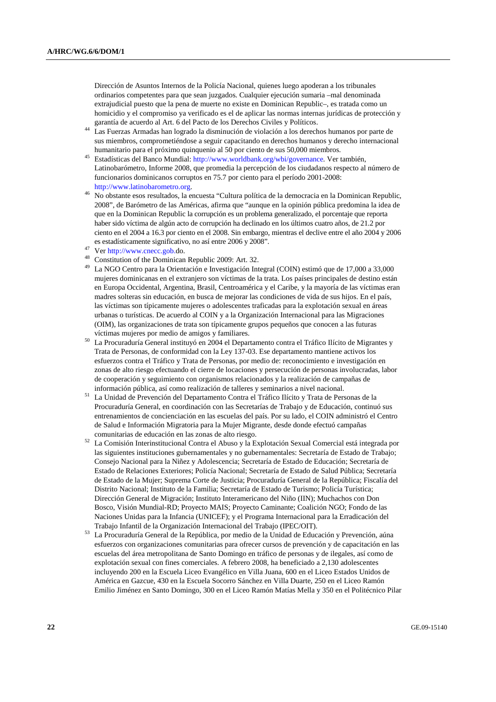Dirección de Asuntos Internos de la Policía Nacional, quienes luego apoderan a los tribunales ordinarios competentes para que sean juzgados. Cualquier ejecución sumaria –mal denominada extrajudicial puesto que la pena de muerte no existe en Dominican Republic–, es tratada como un homicidio y el compromiso ya verificado es el de aplicar las normas internas jurídicas de protección y

- Las Fuerzas Armadas han logrado la disminución de violación a los derechos humanos por parte de sus miembros, comprometiéndose a seguir capacitando en derechos humanos y derecho internacional humanitario para el próximo quinquenio al 50 por ciento de sus 50,000 miembros.
- <sup>45</sup> Estadísticas del Banco Mundial: http://www.worldbank.org/wbi/governance. Ver también, Latinobarómetro, Informe 2008, que promedia la percepción de los ciudadanos respecto al número de funcionarios dominicanos corruptos en 75.7 por ciento para el período 2001-2008:
- http://www.latinobarometro.org. 46 No obstante esos resultados, la encuesta "Cultura política de la democracia en la Dominican Republic, 2008", de Barómetro de las Américas, afirma que "aunque en la opinión pública predomina la idea de que en la Dominican Republic la corrupción es un problema generalizado, el porcentaje que reporta haber sido víctima de algún acto de corrupción ha declinado en los últimos cuatro años, de 21.2 por ciento en el 2004 a 16.3 por ciento en el 2008. Sin embargo, mientras el declive entre el año 2004 y 2006 es estadísticamente significativo, no así entre 2006 y 2008".<br>
<sup>47</sup> Ver http://www.cnecc.gob.do.<br>
<sup>48</sup> Constitution of the Dominican Republic 2009: Art. 32.
- 
- 
- 49 La NGO Centro para la Orientación e Investigación Integral (COIN) estimó que de 17,000 a 33,000 mujeres dominicanas en el extranjero son víctimas de la trata. Los países principales de destino están en Europa Occidental, Argentina, Brasil, Centroamérica y el Caribe, y la mayoría de las víctimas eran madres solteras sin educación, en busca de mejorar las condiciones de vida de sus hijos. En el país, las víctimas son típicamente mujeres o adolescentes traficadas para la explotación sexual en áreas urbanas o turísticas. De acuerdo al COIN y a la Organización Internacional para las Migraciones (OIM), las organizaciones de trata son típicamente grupos pequeños que conocen a las futuras
- víctimas mujeres por medio de amigos y familiares. 50 La Procuraduría General instituyó en 2004 el Departamento contra el Tráfico Ilícito de Migrantes y Trata de Personas, de conformidad con la Ley 137-03. Ese departamento mantiene activos los esfuerzos contra el Tráfico y Trata de Personas, por medio de: reconocimiento e investigación en zonas de alto riesgo efectuando el cierre de locaciones y persecución de personas involucradas, labor de cooperación y seguimiento con organismos relacionados y la realización de campañas de
- información pública, así como realización de talleres y seminarios a nivel nacional. 51 La Unidad de Prevención del Departamento Contra el Tráfico Ilícito y Trata de Personas de la Procuraduría General, en coordinación con las Secretarías de Trabajo y de Educación, continuó sus entrenamientos de concienciación en las escuelas del país. Por su lado, el COIN administró el Centro de Salud e Información Migratoria para la Mujer Migrante, desde donde efectuó campañas
- comunitarias de educación en las zonas de alto riesgo. 52 La Comisión Interinstitucional Contra el Abuso y la Explotación Sexual Comercial está integrada por las siguientes instituciones gubernamentales y no gubernamentales: Secretaría de Estado de Trabajo; Consejo Nacional para la Niñez y Adolescencia; Secretaría de Estado de Educación; Secretaría de Estado de Relaciones Exteriores; Policía Nacional; Secretaría de Estado de Salud Pública; Secretaría de Estado de la Mujer; Suprema Corte de Justicia; Procuraduría General de la República; Fiscalía del Distrito Nacional; Instituto de la Familia; Secretaría de Estado de Turismo; Policía Turística; Dirección General de Migración; Instituto Interamericano del Niño (IIN); Muchachos con Don Bosco, Visión Mundial-RD; Proyecto MAIS; Proyecto Caminante; Coalición NGO; Fondo de las Naciones Unidas para la Infancia (UNICEF); y el Programa Internacional para la Erradicación del
- Trabajo Infantil de la Organización Internacional del Trabajo (IPEC/OIT). 53 La Procuraduría General de la República, por medio de la Unidad de Educación y Prevención, aúna esfuerzos con organizaciones comunitarias para ofrecer cursos de prevención y de capacitación en las escuelas del área metropolitana de Santo Domingo en tráfico de personas y de ilegales, así como de explotación sexual con fines comerciales. A febrero 2008, ha beneficiado a 2,130 adolescentes incluyendo 200 en la Escuela Liceo Evangélico en Villa Juana, 600 en el Liceo Estados Unidos de América en Gazcue, 430 en la Escuela Socorro Sánchez en Villa Duarte, 250 en el Liceo Ramón Emilio Jiménez en Santo Domingo, 300 en el Liceo Ramón Matías Mella y 350 en el Politécnico Pilar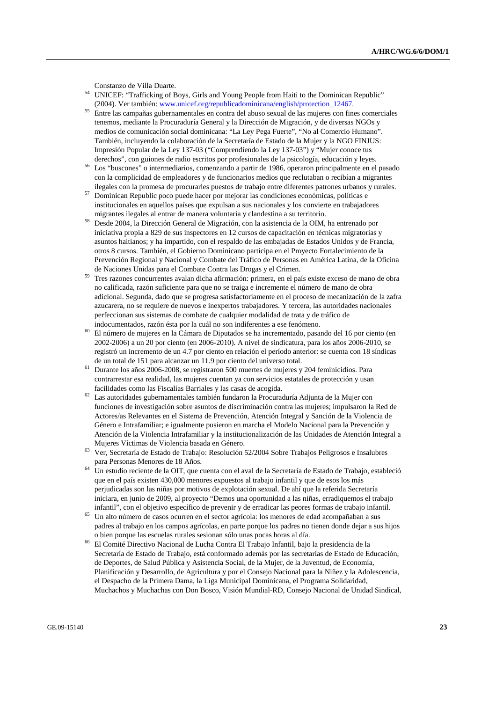- Constanzo de Villa Duarte. 54 UNICEF: "Trafficking of Boys, Girls and Young People from Haiti to the Dominican Republic"
- (2004). Ver también: www.unicef.org/republicadominicana/english/protection\_12467. 55 Entre las campañas gubernamentales en contra del abuso sexual de las mujeres con fines comerciales tenemos, mediante la Procuraduría General y la Dirección de Migración, y de diversas NGOs y medios de comunicación social dominicana: "La Ley Pega Fuerte", "No al Comercio Humano". También, incluyendo la colaboración de la Secretaría de Estado de la Mujer y la NGO FINJUS: Impresión Popular de la Ley 137-03 ("Comprendiendo la Ley 137-03") y "Mujer conoce tus
- derechos", con guiones de radio escritos por profesionales de la psicología, educación y leyes.<br><sup>56</sup> Los "buscones" o intermediarios, comenzando a partir de 1986, operaron principalmente en el pasado con la complicidad de empleadores y de funcionarios medios que reclutaban o recibían a migrantes
- ilegales con la promesa de procurarles puestos de trabajo entre diferentes patrones urbanos y rurales. 57 Dominican Republic poco puede hacer por mejorar las condiciones económicas, políticas e institucionales en aquellos países que expulsan a sus nacionales y los convierte en trabajadores
- migrantes ilegales al entrar de manera voluntaria y clandestina a su territorio. 58 Desde 2004, la Dirección General de Migración, con la asistencia de la OIM, ha entrenado por iniciativa propia a 829 de sus inspectores en 12 cursos de capacitación en técnicas migratorias y asuntos haitianos; y ha impartido, con el respaldo de las embajadas de Estados Unidos y de Francia, otros 8 cursos. También, el Gobierno Dominicano participa en el Proyecto Fortalecimiento de la Prevención Regional y Nacional y Combate del Tráfico de Personas en América Latina, de la Oficina
- de Naciones Unidas para el Combate Contra las Drogas y el Crimen.<br>Tres razones concurrentes avalan dicha afirmación: primera, en el país existe exceso de mano de obra no calificada, razón suficiente para que no se traiga e incremente el número de mano de obra adicional. Segunda, dado que se progresa satisfactoriamente en el proceso de mecanización de la zafra azucarera, no se requiere de nuevos e inexpertos trabajadores. Y tercera, las autoridades nacionales perfeccionan sus sistemas de combate de cualquier modalidad de trata y de tráfico de
- indocumentados, razón ésta por la cuál no son indiferentes a ese fenómeno. 60 El número de mujeres en la Cámara de Diputados se ha incrementado, pasando del 16 por ciento (en 2002-2006) a un 20 por ciento (en 2006-2010). A nivel de sindicatura, para los años 2006-2010, se registró un incremento de un 4.7 por ciento en relación el período anterior: se cuenta con 18 síndicas de un total de 151 para alcanzar un 11.9 por ciento del universo total. 61 Durante los años 2006-2008, se registraron 500 muertes de mujeres y 204 feminicidios. Para
- contrarrestar esa realidad, las mujeres cuentan ya con servicios estatales de protección y usan
- facilidades como las Fiscalías Barriales y las casas de acogida. 62 Las autoridades gubernamentales también fundaron la Procuraduría Adjunta de la Mujer con funciones de investigación sobre asuntos de discriminación contra las mujeres; impulsaron la Red de Actores/as Relevantes en el Sistema de Prevención, Atención Integral y Sanción de la Violencia de Género e Intrafamiliar; e igualmente pusieron en marcha el Modelo Nacional para la Prevención y Atención de la Violencia Intrafamiliar y la institucionalización de las Unidades de Atención Integral a
- Mujeres Víctimas de Violencia basada en Género.<br><sup>63</sup> Ver, Secretaría de Estado de Trabajo: Resolución 52/2004 Sobre Trabajos Peligrosos e Insalubres<br>para Personas Menores de 18 Años.
- para Personas Menores de 18 Años. 64 Un estudio reciente de la OIT, que cuenta con el aval de la Secretaría de Estado de Trabajo, estableció que en el país existen 430,000 menores expuestos al trabajo infantil y que de esos los más perjudicadas son las niñas por motivos de explotación sexual. De ahí que la referida Secretaría iniciara, en junio de 2009, al proyecto "Demos una oportunidad a las niñas, erradiquemos el trabajo
- infantil", con el objetivo específico de prevenir y de erradicar las peores formas de trabajo infantil. 65 Un alto número de casos ocurren en el sector agrícola: los menores de edad acompañaban a sus padres al trabajo en los campos agrícolas, en parte porque los padres no tienen donde dejar a sus hijos
- o bien porque las escuelas rurales sesionan sólo unas pocas horas al día. 66 El Comité Directivo Nacional de Lucha Contra El Trabajo Infantil, bajo la presidencia de la Secretaría de Estado de Trabajo, está conformado además por las secretarías de Estado de Educación, de Deportes, de Salud Pública y Asistencia Social, de la Mujer, de la Juventud, de Economía, Planificación y Desarrollo, de Agricultura y por el Consejo Nacional para la Niñez y la Adolescencia, el Despacho de la Primera Dama, la Liga Municipal Dominicana, el Programa Solidaridad, Muchachos y Muchachas con Don Bosco, Visión Mundial-RD, Consejo Nacional de Unidad Sindical,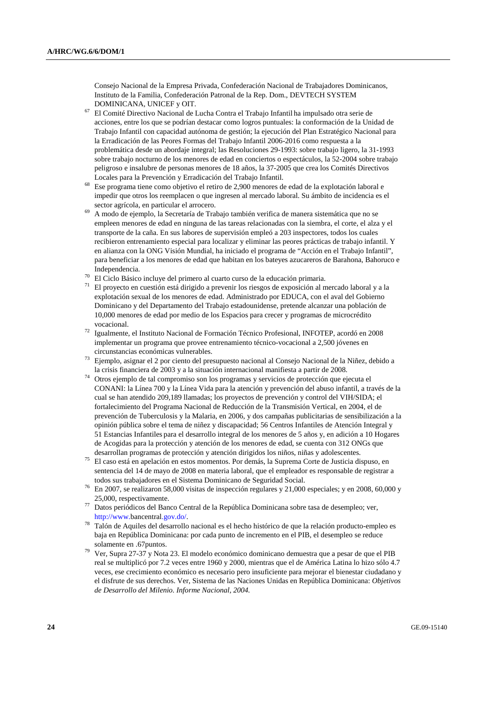Consejo Nacional de la Empresa Privada, Confederación Nacional de Trabajadores Dominicanos, Instituto de la Familia, Confederación Patronal de la Rep. Dom., DEVTECH SYSTEM

- DOMINICANA, UNICEF y OIT. 67 El Comité Directivo Nacional de Lucha Contra el Trabajo Infantil ha impulsado otra serie de acciones, entre los que se podrían destacar como logros puntuales: la conformación de la Unidad de Trabajo Infantil con capacidad autónoma de gestión; la ejecución del Plan Estratégico Nacional para la Erradicación de las Peores Formas del Trabajo Infantil 2006-2016 como respuesta a la problemática desde un abordaje integral; las Resoluciones 29-1993: sobre trabajo ligero, la 31-1993 sobre trabajo nocturno de los menores de edad en conciertos o espectáculos, la 52-2004 sobre trabajo peligroso e insalubre de personas menores de 18 años, la 37-2005 que crea los Comités Directivos
- Locales para la Prevención y Erradicación del Trabajo Infantil. 68 Ese programa tiene como objetivo el retiro de 2,900 menores de edad de la explotación laboral e impedir que otros los reemplacen o que ingresen al mercado laboral. Su ámbito de incidencia es el
- sector agrícola, en particular el arrocero.<br>69 A modo de ejemplo, la Secretaría de Trabajo también verifica de manera sistemática que no se empleen menores de edad en ninguna de las tareas relacionadas con la siembra, el corte, el alza y el transporte de la caña. En sus labores de supervisión empleó a 203 inspectores, todos los cuales recibieron entrenamiento especial para localizar y eliminar las peores prácticas de trabajo infantil. Y en alianza con la ONG Visión Mundial, ha iniciado el programa de "Acción en el Trabajo Infantil", para beneficiar a los menores de edad que habitan en los bateyes azucareros de Barahona, Bahoruco e Independencia. 70 El Ciclo Básico incluye del primero al cuarto curso de la educación primaria.
- 
- 71 El proyecto en cuestión está dirigido a prevenir los riesgos de exposición al mercado laboral y a la explotación sexual de los menores de edad. Administrado por EDUCA, con el aval del Gobierno Dominicano y del Departamento del Trabajo estadounidense, pretende alcanzar una población de 10,000 menores de edad por medio de los Espacios para crecer y programas de microcrédito
- vocacional. 72 Igualmente, el Instituto Nacional de Formación Técnico Profesional, INFOTEP, acordó en 2008 implementar un programa que provee entrenamiento técnico-vocacional a 2,500 jóvenes en
- circunstancias económicas vulnerables. 73 Ejemplo, asignar el 2 por ciento del presupuesto nacional al Consejo Nacional de la Niñez, debido a
- <sup>74</sup> Otros ejemplo de tal compromiso son los programas y servicios de protección que ejecuta el CONANI: la Línea 700 y la Línea Vida para la atención y prevención del abuso infantil, a través de la cual se han atendido 209,189 llamadas; los proyectos de prevención y control del VIH/SIDA; el fortalecimiento del Programa Nacional de Reducción de la Transmisión Vertical, en 2004, el de prevención de Tuberculosis y la Malaria, en 2006, y dos campañas publicitarias de sensibilización a la opinión pública sobre el tema de niñez y discapacidad; 56 Centros Infantiles de Atención Integral y 51 Estancias Infantiles para el desarrollo integral de los menores de 5 años y, en adición a 10 Hogares de Acogidas para la protección y atención de los menores de edad, se cuenta con 312 ONGs que desarrollan programas de protección y atención dirigidos los niños, niñas y adolescentes.
- desarrollan programas de protección y atención dirigidos los niños, niñas y adolescentes. 75 El caso está en apelación en estos momentos. Por demás, la Suprema Corte de Justicia dispuso, en sentencia del 14 de mayo de 2008 en materia laboral, que el empleador es responsable de registrar a
- todos sus trabajadores en el Sistema Dominicano de Seguridad Social. 76 En 2007, se realizaron 58,000 visitas de inspección regulares y 21,000 especiales; y en 2008, 60,000 y 25,000, respectivamente. 77 Datos periódicos del Banco Central de la República Dominicana sobre tasa de desempleo; ver,
- 
- http://www.bancentral.gov.do/. 78 Talón de Aquiles del desarrollo nacional es el hecho histórico de que la relación producto-empleo es baja en República Dominicana: por cada punto de incremento en el PIB, el desempleo se reduce solamente en .67puntos. 79 Ver, Supra 27-37 y Nota 23. El modelo económico dominicano demuestra que a pesar de que el PIB
- real se multiplicó por 7.2 veces entre 1960 y 2000, mientras que el de América Latina lo hizo sólo 4.7 veces, ese crecimiento económico es necesario pero insuficiente para mejorar el bienestar ciudadano y el disfrute de sus derechos. Ver, Sistema de las Naciones Unidas en República Dominicana: *Objetivos de Desarrollo del Milenio. Informe Nacional, 2004.*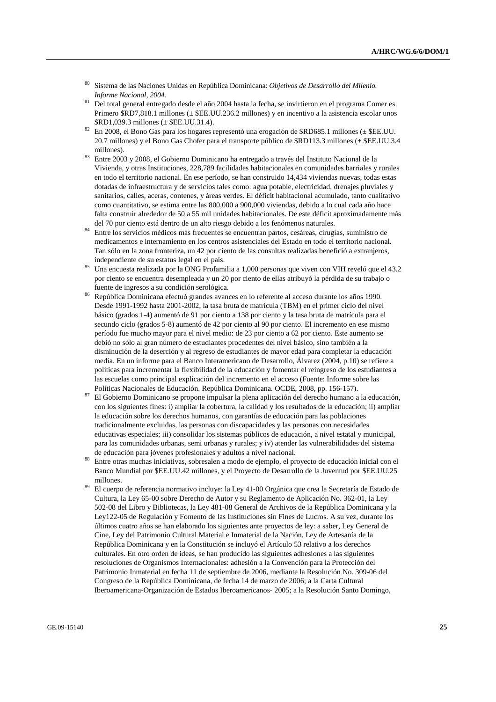- 80 Sistema de las Naciones Unidas en República Dominicana: *Objetivos de Desarrollo del Milenio. Informe Nacional, 2004.*
- 81 Del total general entregado desde el año 2004 hasta la fecha, se invirtieron en el programa Comer es Primero \$RD7,818.1 millones (± \$EE.UU.236.2 millones) y en incentivo a la asistencia escolar unos \$RD1,039.3 millones (± \$EE.UU.31.4).
- $82$  En 2008, el Bono Gas para los hogares representó una erogación de \$RD685.1 millones (± \$EE.UU. 20.7 millones) y el Bono Gas Chofer para el transporte público de \$RD113.3 millones (± \$EE.UU.3.4
- millones). 83 Entre 2003 y 2008, el Gobierno Dominicano ha entregado a través del Instituto Nacional de la Vivienda, y otras Instituciones, 228,789 facilidades habitacionales en comunidades barriales y rurales en todo el territorio nacional. En ese período, se han construido 14,434 viviendas nuevas, todas estas dotadas de infraestructura y de servicios tales como: agua potable, electricidad, drenajes pluviales y sanitarios, calles, aceras, contenes, y áreas verdes. El déficit habitacional acumulado, tanto cualitativo como cuantitativo, se estima entre las 800,000 a 900,000 viviendas, debido a lo cual cada año hace falta construir alrededor de 50 a 55 mil unidades habitacionales. De este déficit aproximadamente más
- del 70 por ciento está dentro de un alto riesgo debido a los fenómenos naturales.<br><sup>84</sup> Entre los servicios médicos más frecuentes se encuentran partos, cesáreas, cirugías, suministro de medicamentos e internamiento en los centros asistenciales del Estado en todo el territorio nacional. Tan sólo en la zona fronteriza, un 42 por ciento de las consultas realizadas benefició a extranjeros,
- independiente de su estatus legal en el país. 85 Una encuesta realizada por la ONG Profamilia a 1,000 personas que viven con VIH reveló que el 43.2 por ciento se encuentra desempleada y un 20 por ciento de ellas atribuyó la pérdida de su trabajo o fuente de ingresos a su condición serológica. 86 República Dominicana efectuó grandes avances en lo referente al acceso durante los años 1990.
- Desde 1991-1992 hasta 2001-2002, la tasa bruta de matrícula (TBM) en el primer ciclo del nivel básico (grados 1-4) aumentó de 91 por ciento a 138 por ciento y la tasa bruta de matrícula para el secundo ciclo (grados 5-8) aumentó de 42 por ciento al 90 por ciento. El incremento en ese mismo período fue mucho mayor para el nivel medio: de 23 por ciento a 62 por ciento. Este aumento se debió no sólo al gran número de estudiantes procedentes del nivel básico, sino también a la disminución de la deserción y al regreso de estudiantes de mayor edad para completar la educación media. En un informe para el Banco Interamericano de Desarrollo, Álvarez (2004, p.10) se refiere a políticas para incrementar la flexibilidad de la educación y fomentar el reingreso de los estudiantes a las escuelas como principal explicación del incremento en el acceso (Fuente: Informe sobre las
- Políticas Nacionales de Educación. República Dominicana. OCDE, 2008, pp. 156-157). 87 El Gobierno Dominicano se propone impulsar la plena aplicación del derecho humano a la educación, con los siguientes fines: i) ampliar la cobertura, la calidad y los resultados de la educación; ii) ampliar la educación sobre los derechos humanos, con garantías de educación para las poblaciones tradicionalmente excluidas, las personas con discapacidades y las personas con necesidades educativas especiales; iii) consolidar los sistemas públicos de educación, a nivel estatal y municipal, para las comunidades urbanas, semi urbanas y rurales; y iv) atender las vulnerabilidades del sistema
- Entre otras muchas iniciativas, sobresalen a modo de ejemplo, el proyecto de educación inicial con el Banco Mundial por \$EE.UU.42 millones, y el Proyecto de Desarrollo de la Juventud por \$EE.UU.25 millones.<br>89 El cuerpo de referencia normativo incluve: la Ley 41-00 Orgánica que crea la Secretaría de Estado de
- Cultura, la Ley 65-00 sobre Derecho de Autor y su Reglamento de Aplicación No. 362-01, la Ley 502-08 del Libro y Bibliotecas, la Ley 481-08 General de Archivos de la República Dominicana y la Ley122-05 de Regulación y Fomento de las Instituciones sin Fines de Lucros. A su vez, durante los últimos cuatro años se han elaborado los siguientes ante proyectos de ley: a saber, Ley General de Cine, Ley del Patrimonio Cultural Material e Inmaterial de la Nación, Ley de Artesanía de la República Dominicana y en la Constitución se incluyó el Artículo 53 relativo a los derechos culturales. En otro orden de ideas, se han producido las siguientes adhesiones a las siguientes resoluciones de Organismos Internacionales: adhesión a la Convención para la Protección del Patrimonio Inmaterial en fecha 11 de septiembre de 2006, mediante la Resolución No. 309-06 del Congreso de la República Dominicana, de fecha 14 de marzo de 2006; a la Carta Cultural Iberoamericana-Organización de Estados Iberoamericanos- 2005; a la Resolución Santo Domingo,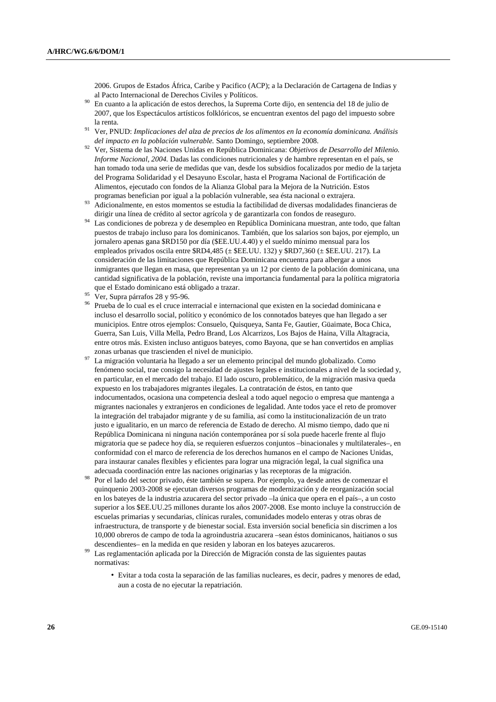2006. Grupos de Estados África, Caribe y Pacifico (ACP); a la Declaración de Cartagena de Indias y

- En cuanto a la aplicación de estos derechos, la Suprema Corte dijo, en sentencia del 18 de julio de 2007, que los Espectáculos artísticos folklóricos, se encuentran exentos del pago del impuesto sobre
- la renta. 91 Ver, PNUD: *Implicaciones del alza de precios de los alimentos en la economía dominicana. Análisis*
- <sup>92</sup> Ver, Sistema de las Naciones Unidas en República Dominicana: *Objetivos de Desarrollo del Milenio*. *Informe Nacional, 2004.* Dadas las condiciones nutricionales y de hambre representan en el país, se han tomado toda una serie de medidas que van, desde los subsidios focalizados por medio de la tarjeta del Programa Solidaridad y el Desayuno Escolar, hasta el Programa Nacional de Fortificación de Alimentos, ejecutado con fondos de la Alianza Global para la Mejora de la Nutrición. Estos
- programas benefician por igual a la población vulnerable, sea ésta nacional o extrajera. 93 Adicionalmente, en estos momentos se estudia la factibilidad de diversas modalidades financieras de
- dirigir una línea de crédito al sector agrícola y de garantizarla con fondos de reaseguro. 94 Las condiciones de pobreza y de desempleo en República Dominicana muestran, ante todo, que faltan puestos de trabajo incluso para los dominicanos. También, que los salarios son bajos, por ejemplo, un jornalero apenas gana \$RD150 por día (\$EE.UU.4.40) y el sueldo mínimo mensual para los empleados privados oscila entre  $RDA,485 \leq EECU$ . 132) y  $RDT,360 \leq EECU$ . 217). La consideración de las limitaciones que República Dominicana encuentra para albergar a unos inmigrantes que llegan en masa, que representan ya un 12 por ciento de la población dominicana, una cantidad significativa de la población, reviste una importancia fundamental para la política migratoria que el Estado dominicano está obligado a trazar. 95 Ver, Supra párrafos 28 y 95-96.
- 
- 96 Prueba de lo cual es el cruce interracial e internacional que existen en la sociedad dominicana e incluso el desarrollo social, político y económico de los connotados bateyes que han llegado a ser municipios. Entre otros ejemplos: Consuelo, Quisqueya, Santa Fe, Gautier, Güaimate, Boca Chica, Guerra, San Luis, Villa Mella, Pedro Brand, Los Alcarrizos, Los Bajos de Haina, Villa Altagracia, entre otros más. Existen incluso antiguos bateyes, como Bayona, que se han convertidos en amplias zonas urbanas que trascienden el nivel de municipio.<br>La migración voluntaria ha llegado a ser un elemento principal del mundo globalizado. Como
- fenómeno social, trae consigo la necesidad de ajustes legales e institucionales a nivel de la sociedad y, en particular, en el mercado del trabajo. El lado oscuro, problemático, de la migración masiva queda expuesto en los trabajadores migrantes ilegales. La contratación de éstos, en tanto que indocumentados, ocasiona una competencia desleal a todo aquel negocio o empresa que mantenga a migrantes nacionales y extranjeros en condiciones de legalidad. Ante todos yace el reto de promover la integración del trabajador migrante y de su familia, así como la institucionalización de un trato justo e igualitario, en un marco de referencia de Estado de derecho. Al mismo tiempo, dado que ni República Dominicana ni ninguna nación contemporánea por sí sola puede hacerle frente al flujo migratoria que se padece hoy día, se requieren esfuerzos conjuntos –binacionales y multilaterales–, en conformidad con el marco de referencia de los derechos humanos en el campo de Naciones Unidas, para instaurar canales flexibles y eficientes para lograr una migración legal, la cual significa una
- adecuada coordinación entre las naciones originarias y las receptoras de la migración.<br>Por el lado del sector privado, éste también se supera. Por ejemplo, ya desde antes de comenzar el quinquenio 2003-2008 se ejecutan diversos programas de modernización y de reorganización social en los bateyes de la industria azucarera del sector privado –la única que opera en el país–, a un costo superior a los \$EE.UU.25 millones durante los años 2007-2008. Ese monto incluye la construcción de escuelas primarias y secundarias, clínicas rurales, comunidades modelo enteras y otras obras de infraestructura, de transporte y de bienestar social. Esta inversión social beneficia sin discrimen a los 10,000 obreros de campo de toda la agroindustria azucarera –sean éstos dominicanos, haitianos o sus
- descendientes– en la medida en que residen y laboran en los bateyes azucareros. 99 Las reglamentación aplicada por la Dirección de Migración consta de las siguientes pautas normativas:
	- Evitar a toda costa la separación de las familias nucleares, es decir, padres y menores de edad, aun a costa de no ejecutar la repatriación.